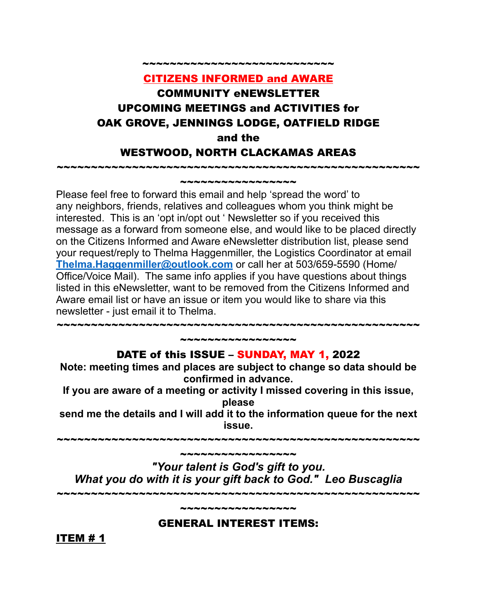# CITIZENS INFORMED and AWARE COMMUNITY eNEWSLETTER UPCOMING MEETINGS and ACTIVITIES for OAK GROVE, JENNINGS LODGE, OATFIELD RIDGE and the WESTWOOD, NORTH CLACKAMAS AREAS

~~~~~~~~~~~~~~~~~~~~~~~~~~~~~~~~~~~~~~~~~~~~~~~~~~~~~ \*\*\*\*\*\*\*\*\*\*\*\*\*\*\*\*\*\*

~~~~~~~~~~~~~~~~~~~~~

Please feel free to forward this email and help 'spread the word' to any neighbors, friends, relatives and colleagues whom you think might be interested. This is an 'opt in/opt out ' Newsletter so if you received this message as a forward from someone else, and would like to be placed directly on the Citizens Informed and Aware eNewsletter distribution list, please send your request/reply to Thelma Haggenmiller, the Logistics Coordinator at email **[Thelma.Haggenmiller@outlook.com](mailto:Thelma.Haggenmiller@outlook.com)** or call her at 503/659-5590 (Home/ Office/Voice Mail). The same info applies if you have questions about things listed in this eNewsletter, want to be removed from the Citizens Informed and Aware email list or have an issue or item you would like to share via this newsletter - just email it to Thelma.

#### ~~~~~~~~~~~~~~~~~ DATE of this ISSUE – SUNDAY, MAY 1, 2022

~~~~~~~~~~~~~~~~~~~~~~~~~~~~~~~~~~~~~~~~~~~~~~~~~~~~~

**Note: meeting times and places are subject to change so data should be confirmed in advance.**

**If you are aware of a meeting or activity I missed covering in this issue, please**

**send me the details and I will add it to the information queue for the next issue.**

~~~~~~~~~~~~~~~~~~~~~~~~~~~~~~~~~~~~~~~~~~~~~~~~~~~~~

~~~~~~~~~~~~~~~~ *"Your talent is God's gift to you. What you do with it is your gift back to God." Leo Buscaglia* ~~~~~~~~~~~~~~~~~~~~~~~~~~~~~~~~~~~~~~~~~~~~~~~~~~~~~

GENERAL INTEREST ITEMS:

~~~~~~~~~~~~~~~

ITEM # 1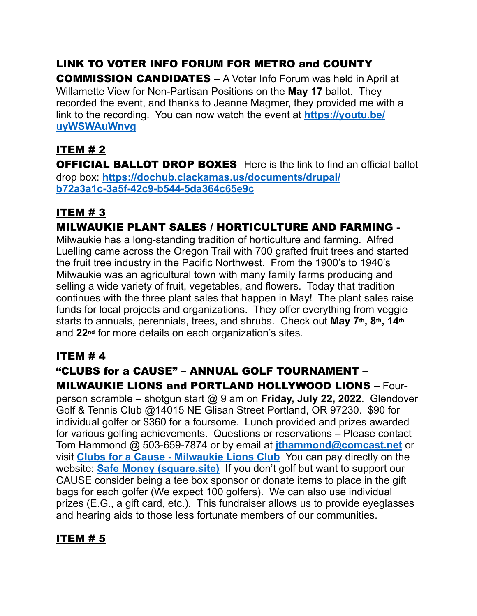# LINK TO VOTER INFO FORUM FOR METRO and COUNTY

COMMISSION CANDIDATES *–* A Voter Info Forum was held in April at Willamette View for Non-Partisan Positions on the **May 17** ballot. They recorded the event, and thanks to Jeanne Magmer, they provided me with a link to the recording. You can now watch the event at **[https://youtu.be/](https://youtu.be/uyWSWAuWnvg) [uyWSWAuWnvg](https://youtu.be/uyWSWAuWnvg)**

## ITEM # 2

**OFFICIAL BALLOT DROP BOXES** Here is the link to find an official ballot drop box: **[https://dochub.clackamas.us/documents/drupal/](https://dochub.clackamas.us/documents/drupal/b72a3a1c-3a5f-42c9-b544-5da364c65e9c) [b72a3a1c-3a5f-42c9-b544-5da364c65e9c](https://dochub.clackamas.us/documents/drupal/b72a3a1c-3a5f-42c9-b544-5da364c65e9c)**

## ITEM # 3

## MILWAUKIE PLANT SALES / HORTICULTURE AND FARMING -

Milwaukie has a long-standing tradition of horticulture and farming. Alfred Luelling came across the Oregon Trail with 700 grafted fruit trees and started the fruit tree industry in the Pacific Northwest. From the 1900's to 1940's Milwaukie was an agricultural town with many family farms producing and selling a wide variety of fruit, vegetables, and flowers. Today that tradition continues with the three plant sales that happen in May! The plant sales raise funds for local projects and organizations. They offer everything from veggie starts to annuals, perennials, trees, and shrubs. Check out **May 7th, 8th, 14th** and **22nd** for more details on each organization's sites.

## **ITEM #4**

## "CLUBS for a CAUSE" – ANNUAL GOLF TOURNAMENT – MILWAUKIE LIONS and PORTLAND HOLLYWOOD LIONS *–* Four-

person scramble – shotgun start @ 9 am on **Friday, July 22, 2022**. Glendover Golf & Tennis Club @14015 NE Glisan Street Portland, OR 97230. \$90 for individual golfer or \$360 for a foursome. Lunch provided and prizes awarded for various golfing achievements. Questions or reservations – Please contact Tom Hammond @ 503-659-7874 or by email at **[jthammond@comcast.net](mailto:jthammond@comcast.net)** or visit **[Clubs for a Cause - Milwaukie Lions Club](https://milwaukielions.org/clubs-for-a-cause/)** You can pay directly on the website: **[Safe Money \(square.site\)](https://milwaukielions.square.site/)** If you don't golf but want to support our CAUSE consider being a tee box sponsor or donate items to place in the gift bags for each golfer (We expect 100 golfers). We can also use individual prizes (E.G., a gift card, etc.). This fundraiser allows us to provide eyeglasses and hearing aids to those less fortunate members of our communities.

## ITEM # 5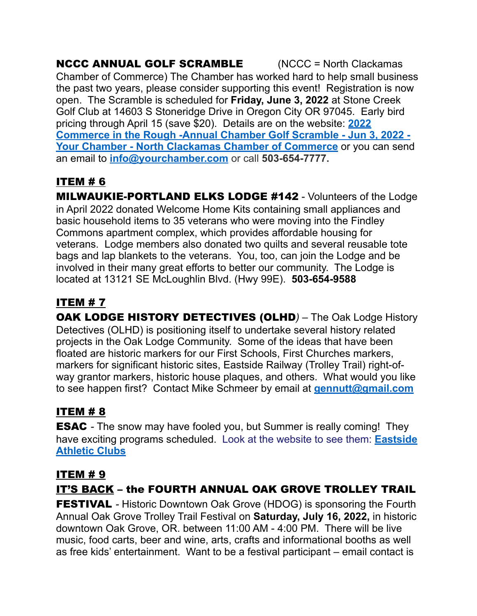#### NCCC ANNUAL GOLF SCRAMBLE (NCCC = North Clackamas Chamber of Commerce) The Chamber has worked hard to help small business the past two years, please consider supporting this event! Registration is now open. The Scramble is scheduled for **Friday, June 3, 2022** at Stone Creek Golf Club at 14603 S Stoneridge Drive in Oregon City OR 97045. Early bird pricing through April 15 (save \$20). Details are on the website: **[2022](https://portal.yourchamber.com/events/details/2022-commerce-in-the-rough-annual-chamber-golf-scramble-9650)  [Commerce in the Rough -Annual Chamber Golf Scramble - Jun 3, 2022 -](https://portal.yourchamber.com/events/details/2022-commerce-in-the-rough-annual-chamber-golf-scramble-9650)  [Your Chamber - North Clackamas Chamber of Commerce](https://portal.yourchamber.com/events/details/2022-commerce-in-the-rough-annual-chamber-golf-scramble-9650)** or you can send an email to **[info@yourchamber.com](mailto:info@yourchamber.com)** or call **503-654-7777.**

# ITEM # 6

**MILWAUKIE-PORTLAND ELKS LODGE #142** - Volunteers of the Lodge in April 2022 donated Welcome Home Kits containing small appliances and basic household items to 35 veterans who were moving into the Findley Commons apartment complex, which provides affordable housing for veterans. Lodge members also donated two quilts and several reusable tote bags and lap blankets to the veterans. You, too, can join the Lodge and be involved in their many great efforts to better our community. The Lodge is located at 13121 SE McLoughlin Blvd. (Hwy 99E). **503-654-9588**

# ITEM # 7

OAK LODGE HISTORY DETECTIVES (OLHD*) –* The Oak Lodge History Detectives (OLHD) is positioning itself to undertake several history related projects in the Oak Lodge Community. Some of the ideas that have been floated are historic markers for our First Schools, First Churches markers, markers for significant historic sites, Eastside Railway (Trolley Trail) right-ofway grantor markers, historic house plaques, and others. What would you like to see happen first? Contact Mike Schmeer by email at **[gennutt@gmail.com](mailto:gennutt@gmail.com)**

# ITEM # 8

ESAC *-* The snow may have fooled you, but Summer is really coming! They have exciting programs scheduled. Look at the website to see them: **[Eastside](https://www.eastsideathleticclub.com/)  [Athletic Clubs](https://www.eastsideathleticclub.com/)**

# ITEM # 9

# IT'S BACK – the FOURTH ANNUAL OAK GROVE TROLLEY TRAIL

**FESTIVAL** - Historic Downtown Oak Grove (HDOG) is sponsoring the Fourth Annual Oak Grove Trolley Trail Festival on **Saturday, July 16, 2022,** in historic downtown Oak Grove, OR. between 11:00 AM - 4:00 PM. There will be live music, food carts, beer and wine, arts, crafts and informational booths as well as free kids' entertainment. Want to be a festival participant – email contact is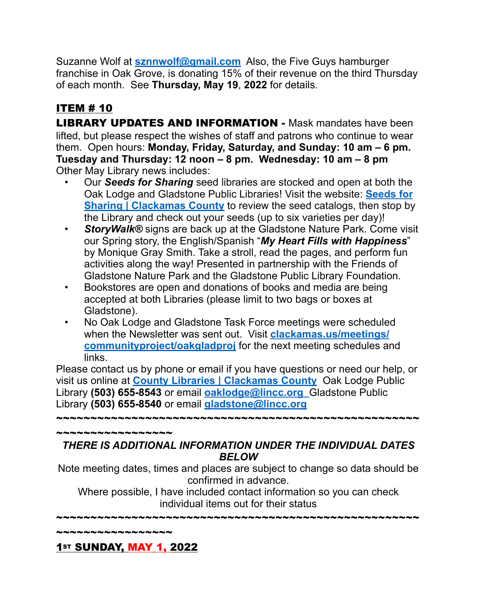Suzanne Wolf at **[sznnwolf@gmail.com](mailto:sznnwolf@gmail.com)** Also, the Five Guys hamburger franchise in Oak Grove, is donating 15% of their revenue on the third Thursday of each month. See **Thursday, May 19**, **2022** for details.

# ITEM # 10

**LIBRARY UPDATES AND INFORMATION -** Mask mandates have been lifted, but please respect the wishes of staff and patrons who continue to wear them. Open hours: **Monday, Friday, Saturday, and Sunday: 10 am – 6 pm. Tuesday and Thursday: 12 noon – 8 pm. Wednesday: 10 am – 8 pm** Other May Library news includes:

- Our *Seeds for Sharing* seed libraries are stocked and open at both the Oak Lodge and Gladstone Public Libraries! Visit the website: **[Seeds for](https://www.clackamas.us/lib/seeds-for-sharing)  [Sharing | Clackamas County](https://www.clackamas.us/lib/seeds-for-sharing)** to review the seed catalogs, then stop by the Library and check out your seeds (up to six varieties per day)!
- *StoryWalk®* signs are back up at the Gladstone Nature Park. Come visit our Spring story, the English/Spanish "*My Heart Fills with Happiness*" by Monique Gray Smith. Take a stroll, read the pages, and perform fun activities along the way! Presented in partnership with the Friends of Gladstone Nature Park and the Gladstone Public Library Foundation.
- Bookstores are open and donations of books and media are being accepted at both Libraries (please limit to two bags or boxes at Gladstone).
- No Oak Lodge and Gladstone Task Force meetings were scheduled when the Newsletter was sent out. Visit **[clackamas.us/meetings/](https://clackamas.us/meetings/communityproject/oakgladproj) [communityproject/oakgladproj](https://clackamas.us/meetings/communityproject/oakgladproj)** for the next meeting schedules and links.

Please contact us by phone or email if you have questions or need our help, or visit us online at **[County Libraries | Clackamas County](https://www.clackamas.us/lib)** Oak Lodge Public Library **(503) 655-8543** or email **[oaklodge@lincc.org](mailto:oaklodge@lincc.org)** Gladstone Public Library **(503) 655-8540** or email **[gladstone@lincc.org](mailto:gladstone@lincc.org)**

~~~~~~~~~~~~~~~~~~~~~~~~~~~~~~~~~~

*THERE IS ADDITIONAL INFORMATION UNDER THE INDIVIDUAL DATES BELOW*

Note meeting dates, times and places are subject to change so data should be confirmed in advance.

Where possible, I have included contact information so you can check individual items out for their status

~~~~~~~~~~~~~~~~~~~~~~~~~~~~~~~~~~~~~~~~~~~~~~~~~~~~~

~~~~~~~~~~~~~~~~

~~~~~~~~~~~~~~~~~~~~

1st SUNDAY, MAY 1, 2022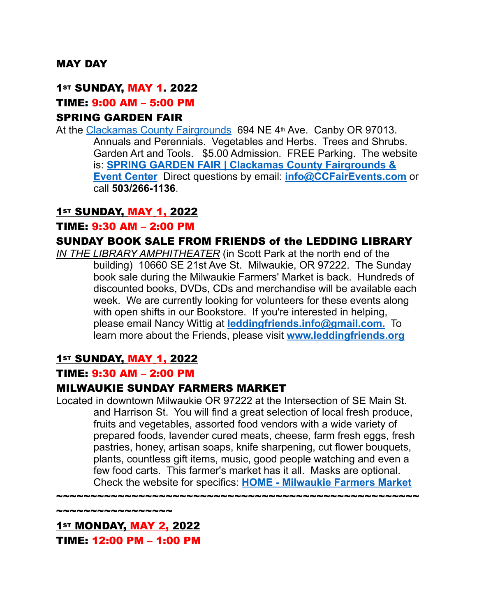#### MAY DAY

#### <u>1st SUNDAY, MAY 1. 2022</u>

#### TIME: 9:00 AM – 5:00 PM

#### SPRING GARDEN FAIR

At the [Clackamas County Fairgrounds](https://clackamascountyfair.com/venue/clackamas-county-fairgrounds/) 694 NE 4th Ave. Canby OR 97013. Annuals and Perennials. Vegetables and Herbs. Trees and Shrubs. Garden Art and Tools. \$5.00 Admission. FREE Parking. The website is: **[SPRING GARDEN FAIR | Clackamas County Fairgrounds &](https://clackamascountyfair.com/events/category/series/spring-garden-fair/)  [Event Center](https://clackamascountyfair.com/events/category/series/spring-garden-fair/)** Direct questions by email: **[info@CCFairEvents.com](mailto:info@CCFairEvents.com)** or call **503/266-1136**.

#### **1st SUNDAY, MAY 1, 2022**

#### TIME: 9:30 AM – 2:00 PM

#### SUNDAY BOOK SALE FROM FRIENDS of the LEDDING LIBRARY

*IN THE LIBRARY AMPHITHEATER* (in Scott Park at the north end of the building) 10660 SE 21st Ave St. Milwaukie, OR 97222.The Sunday book sale during the Milwaukie Farmers' Market is back. Hundreds of discounted books, DVDs, CDs and merchandise will be available each week. We are currently looking for volunteers for these events along with open shifts in our Bookstore. If you're interested in helping, please email Nancy Wittig at **[leddingfriends.info@gmail.com.](mailto:leddingfriends@gmail.com)** To learn more about the Friends, please visit **[www.leddingfriends.org](http://www.leddingfriends.org/)**

#### **1st SUNDAY, MAY 1, 2022**

#### TIME: 9:30 AM – 2:00 PM

#### MILWAUKIE SUNDAY FARMERS MARKET

Located in downtown Milwaukie OR 97222 at the Intersection of SE Main St. and Harrison St. You will find a great selection of local fresh produce, fruits and vegetables, assorted food vendors with a wide variety of prepared foods, lavender cured meats, cheese, farm fresh eggs, fresh pastries, honey, artisan soaps, knife sharpening, cut flower bouquets, plants, countless gift items, music, good people watching and even a few food carts. This farmer's market has it all. Masks are optional. Check the website for specifics: **[HOME - Milwaukie Farmers Market](https://milwaukiefarmersmarket.com/)**

~~~~~~~~~~~~~~~~~~~~~~~~~~~~~~~~~~~~~~~~~~~~~~~~~~~~~

\*\*\*\*\*\*\*\*\*\*\*\*\*\*

1st **MONDAY, MAY 2, 2022** TIME: 12:00 PM – 1:00 PM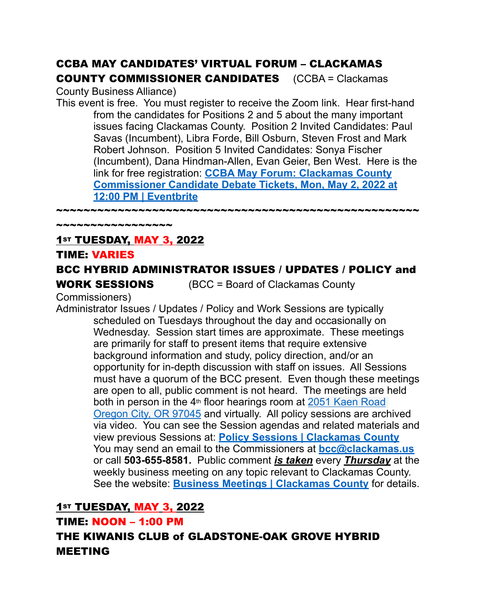## CCBA MAY CANDIDATES' VIRTUAL FORUM – CLACKAMAS COUNTY COMMISSIONER CANDIDATES (CCBA = Clackamas

County Business Alliance)

This event is free. You must register to receive the Zoom link. Hear first-hand from the candidates for Positions 2 and 5 about the many important issues facing Clackamas County. Position 2 Invited Candidates: Paul Savas (Incumbent), Libra Forde, Bill Osburn, Steven Frost and Mark Robert Johnson. Position 5 Invited Candidates: Sonya Fischer (Incumbent), Dana Hindman-Allen, Evan Geier, Ben West. Here is the link for free registration: **[CCBA May Forum: Clackamas County](https://www.eventbrite.com/e/ccba-may-forum-clackamas-county-commissioner-candidate-debate-tickets-322763082067)  [Commissioner Candidate Debate Tickets, Mon, May 2, 2022 at](https://www.eventbrite.com/e/ccba-may-forum-clackamas-county-commissioner-candidate-debate-tickets-322763082067)  [12:00 PM | Eventbrite](https://www.eventbrite.com/e/ccba-may-forum-clackamas-county-commissioner-candidate-debate-tickets-322763082067)**

~~~~~~~~~~~~~~~~~

## **1st TUESDAY, MAY 3, 2022**

~~~~~~~~~~~~~~~~

#### TIME: VARIES

## BCC HYBRID ADMINISTRATOR ISSUES / UPDATES / POLICY and

**WORK SESSIONS** (BCC = Board of Clackamas County

Commissioners)

Administrator Issues / Updates / Policy and Work Sessions are typically scheduled on Tuesdays throughout the day and occasionally on Wednesday. Session start times are approximate. These meetings are primarily for staff to present items that require extensive background information and study, policy direction, and/or an opportunity for in-depth discussion with staff on issues. All Sessions must have a quorum of the BCC present. Even though these meetings are open to all, public comment is not heard. The meetings are held both in person in the 4<sup>th</sup> floor hearings room at 2051 Kaen Road [Oregon City, OR 97045](http://maps.google.com/maps?q=2051%20Kaen%20Road%20Oregon%20City%2C%20OR%2097045&c=45.3329205302%20-122.598746346) and virtually. All policy sessions are archived via video. You can see the Session agendas and related materials and view previous Sessions at: **[Policy Sessions | Clackamas County](https://www.clackamas.us/meetings/bcc/presentation)** You may send an email to the Commissioners at **[bcc@clackamas.us](mailto:bcc@clackamas.us)**  or call **503-655-8581.** Public comment *is taken* every *Thursday* at the weekly business meeting on any topic relevant to Clackamas County. See the website: **[Business Meetings | Clackamas County](https://www.clackamas.us/meetings/bcc/business)** for details.

## **1st TUESDAY, MAY 3, 2022**

TIME: NOON – 1:00 PM

THE KIWANIS CLUB of GLADSTONE-OAK GROVE HYBRID MEETING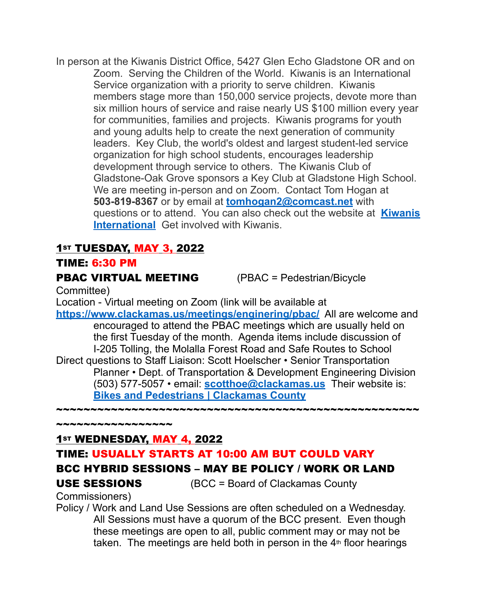In person at the Kiwanis District Office, 5427 Glen Echo Gladstone OR and on Zoom. Serving the Children of the World. Kiwanis is an International Service organization with a priority to serve children. Kiwanis members stage more than 150,000 service projects, devote more than six million hours of service and raise nearly US \$100 million every year for communities, families and projects. Kiwanis programs for youth and young adults help to create the next generation of community leaders. Key Club, the world's oldest and largest student-led service organization for high school students, encourages leadership development through service to others. The Kiwanis Club of Gladstone-Oak Grove sponsors a Key Club at Gladstone High School. We are meeting in-person and on Zoom. Contact Tom Hogan at **503-819-8367** or by email at **[tomhogan2@comcast.net](mailto:tomhogan2@comcast.net)** with questions or to attend. You can also check out the website at **[Kiwanis](https://www.kiwanis.org/)  [International](https://www.kiwanis.org/)** Get involved with Kiwanis.

## 1st TUESDAY, MAY 3, 2022

#### TIME: 6:30 PM

#### **PBAC VIRTUAL MEETING** (PBAC = Pedestrian/Bicycle

Committee)

Location - Virtual meeting on Zoom (link will be available at

**<https://www.clackamas.us/meetings/enginering/pbac/>** All are welcome and encouraged to attend the PBAC meetings which are usually held on the first Tuesday of the month. Agenda items include discussion of I-205 Tolling, the Molalla Forest Road and Safe Routes to School Direct questions to Staff Liaison: Scott Hoelscher • Senior Transportation Planner • Dept. of Transportation & Development Engineering Division (503) 577-5057 • email: **[scotthoe@clackamas.us](mailto:scotthoe@clackamas.us)**Their website is: **[Bikes and Pedestrians | Clackamas County](https://www.clackamas.us/engineering/biking.html)**

 $\boldsymbol{*}$ 

~~~~~~~~~~~~~~~~~

## 1st WEDNESDAY, MAY 4, 2022

## TIME: USUALLY STARTS AT 10:00 AM BUT COULD VARY

## BCC HYBRID SESSIONS – MAY BE POLICY / WORK OR LAND

USE SESSIONS (BCC = Board of Clackamas County

Commissioners)

Policy / Work and Land Use Sessions are often scheduled on a Wednesday. All Sessions must have a quorum of the BCC present. Even though these meetings are open to all, public comment may or may not be taken. The meetings are held both in person in the  $4<sup>th</sup>$  floor hearings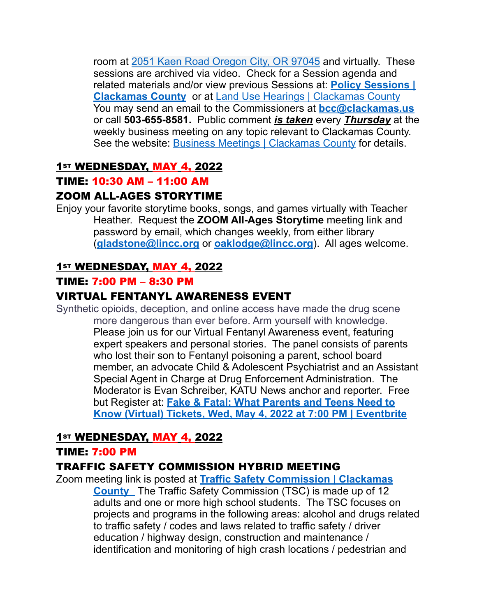room at [2051 Kaen Road Oregon City, OR 97045](http://maps.google.com/maps?q=2051%20Kaen%20Road%20Oregon%20City%2C%20OR%2097045&c=45.3329205302%20-122.598746346) and virtually. These sessions are archived via video. Check for a Session agenda and related materials and/or view previous Sessions at: **[Policy Sessions |](https://www.clackamas.us/meetings/bcc/presentation)  [Clackamas County](https://www.clackamas.us/meetings/bcc/presentation)** or at Land Use Hearings | Clackamas County You may send an email to the Commissioners at **[bcc@clackamas.us](mailto:bcc@clackamas.us)**  or call **503-655-8581.** Public comment *is taken* every *Thursday* at the weekly business meeting on any topic relevant to Clackamas County. See the website: [Business Meetings | Clackamas County](https://www.clackamas.us/meetings/bcc/business) for details.

## 1st WEDNESDAY, MAY 4, 2022

#### TIME: 10:30 AM – 11:00 AM

## ZOOM ALL-AGES STORYTIME

Enjoy your favorite storytime books, songs, and games virtually with Teacher Heather. Request the **ZOOM All-Ages Storytime** meeting link and password by email, which changes weekly, from either library (**[gladstone@lincc.org](mailto:gladstone@lincc.org)** or **[oaklodge@lincc.org](mailto:oaklodge@lincc.org)**). All ages welcome.

## 1st WEDNESDAY, MAY 4, 2022

#### TIME: 7:00 PM – 8:30 PM

## VIRTUAL FENTANYL AWARENESS EVENT

Synthetic opioids, deception, and online access have made the drug scene more dangerous than ever before. Arm yourself with knowledge. Please join us for our Virtual Fentanyl Awareness event, featuring expert speakers and personal stories. The panel consists of parents who lost their son to Fentanyl poisoning a parent, school board member, an advocate Child & Adolescent Psychiatrist and an Assistant Special Agent in Charge at Drug Enforcement Administration. The Moderator is Evan Schreiber, KATU News anchor and reporter. Free but Register at: **[Fake & Fatal: What Parents and Teens Need to](https://www.eventbrite.com/e/fake-fatal-what-parents-and-teens-need-to-know-virtual-tickets-325353831067)  [Know \(Virtual\) Tickets, Wed, May 4, 2022 at 7:00 PM | Eventbrite](https://www.eventbrite.com/e/fake-fatal-what-parents-and-teens-need-to-know-virtual-tickets-325353831067)**

## 1st WEDNESDAY, MAY 4, 2022

#### TIME: 7:00 PM

## TRAFFIC SAFETY COMMISSION HYBRID MEETING

Zoom meeting link is posted at **[Traffic Safety Commission | Clackamas](https://www.clackamas.us/meetings/engineering/tsc)  [County](https://www.clackamas.us/meetings/engineering/tsc)** The Traffic Safety Commission (TSC) is made up of 12 adults and one or more high school students. The TSC focuses on projects and programs in the following areas: alcohol and drugs related to traffic safety / codes and laws related to traffic safety / driver education / highway design, construction and maintenance / identification and monitoring of high crash locations / pedestrian and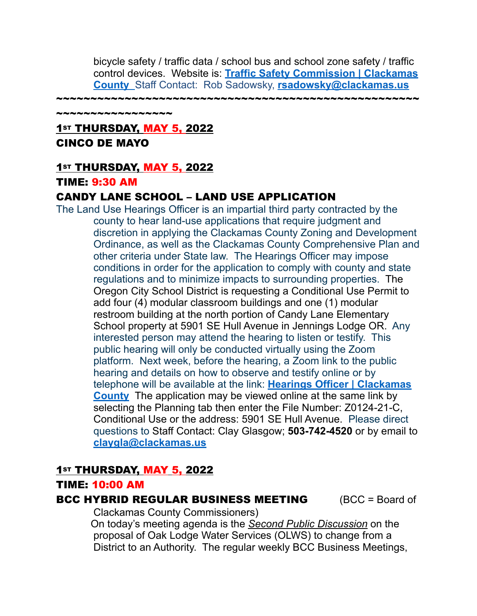bicycle safety / traffic data / school bus and school zone safety / traffic control devices. Website is: **[Traffic Safety Commission | Clackamas](https://www.clackamas.us/meetings/engineering/tsc)  [County](https://www.clackamas.us/meetings/engineering/tsc)** Staff Contact: Rob Sadowsky, **[rsadowsky@clackamas.us](mailto:rsadowsky@clackamas.us)**

~~~~~~~~~~~~~~~~~~~~~~

~~~~~~~~~~~~~~~~~

## **1st THURSDAY, MAY 5, 2022** CINCO DE MAYO

#### 1st THURSDAY, MAY 5, 2022

#### TIME: 9:30 AM

#### CANDY LANE SCHOOL – LAND USE APPLICATION

The Land Use Hearings Officer is an impartial third party contracted by the county to hear land-use applications that require judgment and discretion in applying the Clackamas County Zoning and Development Ordinance, as well as the Clackamas County Comprehensive Plan and other criteria under State law. The Hearings Officer may impose conditions in order for the application to comply with county and state regulations and to minimize impacts to surrounding properties. The Oregon City School District is requesting a Conditional Use Permit to add four (4) modular classroom buildings and one (1) modular restroom building at the north portion of Candy Lane Elementary School property at 5901 SE Hull Avenue in Jennings Lodge OR. Any interested person may attend the hearing to listen or testify. This public hearing will only be conducted virtually using the Zoom platform. Next week, before the hearing, a Zoom link to the public hearing and details on how to observe and testify online or by telephone will be available at the link: **[Hearings Officer | Clackamas](https://www.clackamas.us/meetings/planning/hearingsofficer)  [County](https://www.clackamas.us/meetings/planning/hearingsofficer)** The application may be viewed online at the same link by selecting the Planning tab then enter the File Number: Z0124-21-C, Conditional Use or the address: 5901 SE Hull Avenue. Please direct questions to Staff Contact: Clay Glasgow; **503-742-4520** or by email to **[claygla@clackamas.us](mailto:claygla@clackamas.us)**

#### 1st THURSDAY, MAY 5, 2022

#### TIME: 10:00 AM

#### **BCC HYBRID REGULAR BUSINESS MEETING (BCC = Board of**

Clackamas County Commissioners)

 On today's meeting agenda is the *Second Public Discussion* on the proposal of Oak Lodge Water Services (OLWS) to change from a District to an Authority. The regular weekly BCC Business Meetings,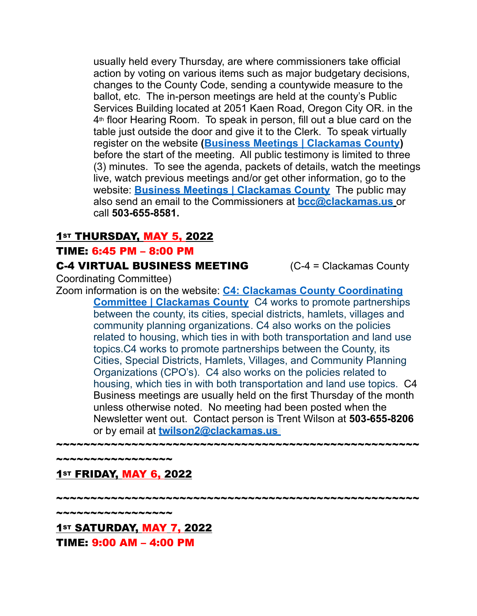usually held every Thursday, are where commissioners take official action by voting on various items such as major budgetary decisions, changes to the County Code, sending a countywide measure to the ballot, etc. The in-person meetings are held at the county's Public Services Building located at 2051 Kaen Road, Oregon City OR. in the 4th floor Hearing Room. To speak in person, fill out a blue card on the table just outside the door and give it to the Clerk. To speak virtually register on the website **[\(Business Meetings | Clackamas County\)](https://www.clackamas.us/meetings/bcc/business)**  before the start of the meeting. All public testimony is limited to three (3) minutes. To see the agenda, packets of details, watch the meetings live, watch previous meetings and/or get other information, go to the website: **[Business Meetings | Clackamas County](https://www.clackamas.us/meetings/bcc/business)** The public may also send an email to the Commissioners at **[bcc@clackamas.us](mailto:bcc@clackamas.us)** or call **503-655-8581.** 

#### 1st THURSDAY, MAY 5, 2022

#### TIME: 6:45 PM – 8:00 PM

#### **C-4 VIRTUAL BUSINESS MEETING** (C-4 = Clackamas County

Coordinating Committee)

Zoom information is on the website: **[C4: Clackamas County Coordinating](https://www.clackamas.us/c4)  [Committee | Clackamas County](https://www.clackamas.us/c4)** C4 works to promote partnerships between the county, its cities, special districts, hamlets, villages and community planning organizations. C4 also works on the policies related to housing, which ties in with both transportation and land use topics.C4 works to promote partnerships between the County, its Cities, Special Districts, Hamlets, Villages, and Community Planning Organizations (CPO's). C4 also works on the policies related to housing, which ties in with both transportation and land use topics. C4 Business meetings are usually held on the first Thursday of the month unless otherwise noted. No meeting had been posted when the Newsletter went out. Contact person is Trent Wilson at **503-655-8206** or by email at **[twilson2@clackamas.us](mailto:twilson2@clackamas.us)**

~~~~~~~~~~~~~~~~~~~~~~~~~~~~~~~~~~~~~~~~~~~~~~~~~~~~~

~~~~~~~~~~~~~~~~~ 1st FRIDAY, MAY 6, 2022

~~~~~~~~~~~~~~~~~~~~~~~~~~~~~~~~~~~~

~~~~~~~~~~~~~~~~~

1st SATURDAY, MAY 7, 2022 TIME: 9:00 AM – 4:00 PM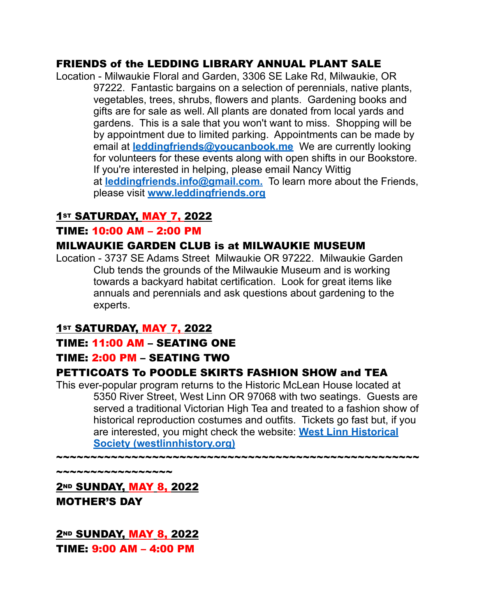## FRIENDS of the LEDDING LIBRARY ANNUAL PLANT SALE

Location - Milwaukie Floral and Garden, 3306 SE Lake Rd, Milwaukie, OR 97222. Fantastic bargains on a selection of perennials, native plants, vegetables, trees, shrubs, flowers and plants. Gardening books and gifts are for sale as well. All plants are donated from local yards and gardens. This is a sale that you won't want to miss. Shopping will be by appointment due to limited parking. Appointments can be made by email at **[leddingfriends@youcanbook.me](mailto:leddingfriends@youcanbook.me)** We are currently looking for volunteers for these events along with open shifts in our Bookstore. If you're interested in helping, please email Nancy Wittig at **[leddingfriends.info@gmail.com.](mailto:leddingfriends@gmail.com)** To learn more about the Friends, please visit **[www.leddingfriends.org](http://www.leddingfriends.org/)**

## 1st SATURDAY, MAY 7, 2022

#### TIME: 10:00 AM – 2:00 PM

#### MILWAUKIE GARDEN CLUB is at MILWAUKIE MUSEUM

Location - 3737 SE Adams Street Milwaukie OR 97222. Milwaukie Garden Club tends the grounds of the Milwaukie Museum and is working towards a backyard habitat certification. Look for great items like annuals and perennials and ask questions about gardening to the experts.

## 1st SATURDAY, MAY 7, 2022

#### TIME: 11:00 AM – SEATING ONE

## TIME: 2:00 PM – SEATING TWO

## PETTICOATS To POODLE SKIRTS FASHION SHOW and TEA

This ever-popular program returns to the Historic McLean House located at 5350 River Street, West Linn OR 97068 with two seatings. Guests are served a traditional Victorian High Tea and treated to a fashion show of historical reproduction costumes and outfits. Tickets go fast but, if you are interested, you might check the website: **[West Linn Historical](https://www.westlinnhistory.org/)  [Society \(westlinnhistory.org\)](https://www.westlinnhistory.org/)**

 $\boldsymbol{*}$ 

\*\*\*\*\*\*\*\*\*\*\*\*\*\*\*\*\*\*\*\*

2<sup>ND</sup> SUNDAY, MAY 8, 2022 MOTHER'S DAY

**2ND SUNDAY, MAY 8, 2022** TIME: 9:00 AM – 4:00 PM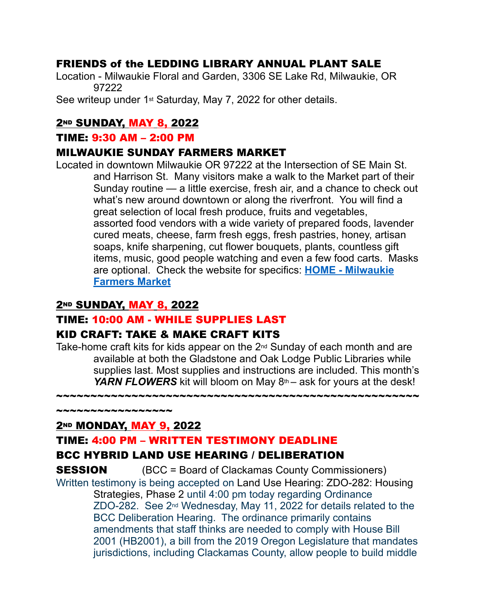## FRIENDS of the LEDDING LIBRARY ANNUAL PLANT SALE

Location - Milwaukie Floral and Garden, 3306 SE Lake Rd, Milwaukie, OR 97222

See writeup under 1st Saturday, May 7, 2022 for other details.

## 2<sup>ND</sup> SUNDAY, MAY 8, 2022

#### TIME: 9:30 AM – 2:00 PM

#### MILWAUKIE SUNDAY FARMERS MARKET

Located in downtown Milwaukie OR 97222 at the Intersection of SE Main St. and Harrison St. Many visitors make a walk to the Market part of their Sunday routine — a little exercise, fresh air, and a chance to check out what's new around downtown or along the riverfront. You will find a great selection of local fresh produce, fruits and vegetables, assorted food vendors with a wide variety of prepared foods, lavender cured meats, cheese, farm fresh eggs, fresh pastries, honey, artisan soaps, knife sharpening, cut flower bouquets, plants, countless gift items, music, good people watching and even a few food carts. Masks are optional. Check the website for specifics: **[HOME - Milwaukie](https://milwaukiefarmersmarket.com/)  [Farmers Market](https://milwaukiefarmersmarket.com/)**

#### 2<sup>ND</sup> SUNDAY, MAY 8, 2022

## TIME: 10:00 AM - WHILE SUPPLIES LAST

## KID CRAFT: TAKE & MAKE CRAFT KITS

Take-home craft kits for kids appear on the 2nd Sunday of each month and are available at both the Gladstone and Oak Lodge Public Libraries while supplies last. Most supplies and instructions are included. This month's *YARN FLOWERS* kit will bloom on May 8<sup>th</sup> – ask for yours at the desk!

~~~~~~~~~~~~~~~~~~~~~~~~~~~~~~~~~~~~~~~~~~~~~~~~~~~~~

**2ND MONDAY, MAY 9, 2022** 

~~~~~~~~~~~~~~~~~

#### TIME: 4:00 PM – WRITTEN TESTIMONY DEADLINE

## BCC HYBRID LAND USE HEARING / DELIBERATION

**SESSION** (BCC = Board of Clackamas County Commissioners) Written testimony is being accepted on Land Use Hearing: ZDO-282: Housing Strategies, Phase 2 until 4:00 pm today regarding Ordinance ZDO-282. See 2nd Wednesday, May 11, 2022 for details related to the BCC Deliberation Hearing. The ordinance primarily contains amendments that staff thinks are needed to comply with House Bill 2001 (HB2001), a bill from the 2019 Oregon Legislature that mandates jurisdictions, including Clackamas County, allow people to build middle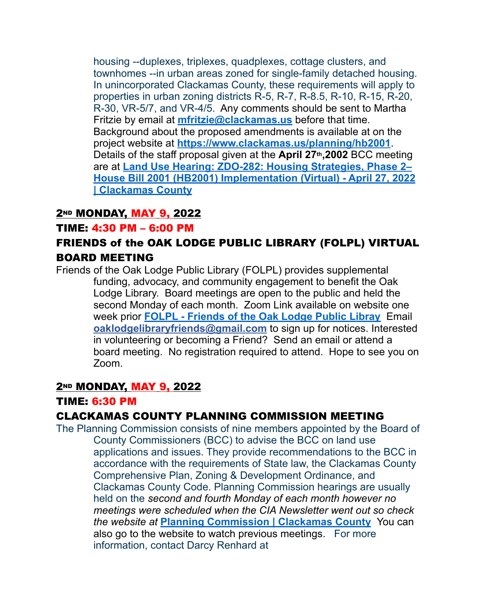housing --duplexes, triplexes, quadplexes, cottage clusters, and townhomes --in urban areas zoned for single-family detached housing. In unincorporated Clackamas County, these requirements will apply to properties in urban zoning districts R-5, R-7, R-8.5, R-10, R-15, R-20, R-30, VR-5/7, and VR-4/5. Any comments should be sent to Martha Fritzie by email at **[mfritzie@clackamas.us](mailto:mfritzie@clackamas.us)** before that time. Background about the proposed amendments is available at on the project website at **[https://www.clackamas.us/planning/hb2001](https://nam12.safelinks.protection.outlook.com/?url=https%3A%2F%2Fwww.clackamas.us%2Fplanning%2Fhb2001&data=05%7C01%7C%7Cff0fc070774241b1a8d208da28a09191%7C84df9e7fe9f640afb435aaaaaaaaaaaa%7C1%7C0%7C637866967360762412%7CUnknown%7CTWFpbGZsb3d8eyJWIjoiMC4wLjAwMDAiLCJQIjoiV2luMzIiLCJBTiI6Ik1haWwiLCJXVCI6Mn0%3D%7C3000%7C%7C%7C&sdata=Wo%2BJwLVBgA95IMP0w6bJYHLDTyJi8QcunhnlVItG5zw%3D&reserved=0)**. Details of the staff proposal given at the **April 27th,2002** BCC meeting are at **[Land Use Hearing: ZDO-282: Housing Strategies, Phase 2–](https://www.clackamas.us/meetings/bcc/landuse/2022-04-27) [House Bill 2001 \(HB2001\) Implementation \(Virtual\) - April 27, 2022](https://www.clackamas.us/meetings/bcc/landuse/2022-04-27)  [| Clackamas County](https://www.clackamas.us/meetings/bcc/landuse/2022-04-27)**

## **2ND MONDAY, MAY 9, 2022**

#### TIME: 4:30 PM – 6:00 PM

## FRIENDS of the OAK LODGE PUBLIC LIBRARY (FOLPL) VIRTUAL BOARD MEETING

Friends of the Oak Lodge Public Library (FOLPL) provides supplemental funding, advocacy, and community engagement to benefit the Oak Lodge Library. Board meetings are open to the public and held the second Monday of each month. Zoom Link available on website one week prior **[FOLPL - Friends of the Oak Lodge Public Libray](https://www.folpl.org/)** Email **[oaklodgelibraryfriends@gmail.com](mailto:oaklodgelibraryfriends@gmail.com)** to sign up for notices. Interested in volunteering or becoming a Friend? Send an email or attend a board meeting. No registration required to attend. Hope to see you on Zoom.

#### 2<sup>ND</sup> MONDAY, MAY 9, 2022

#### TIME: 6:30 PM

## CLACKAMAS COUNTY PLANNING COMMISSION MEETING

The Planning Commission consists of nine members appointed by the Board of County Commissioners (BCC) to advise the BCC on land use applications and issues. They provide recommendations to the BCC in accordance with the requirements of State law, the Clackamas County Comprehensive Plan, Zoning & Development Ordinance, and Clackamas County Code. Planning Commission hearings are usually held on the *second and fourth Monday of each month however no meetings were scheduled when the CIA Newsletter went out so check the website at* **[Planning Commission | Clackamas County](https://www.clackamas.us/planning/planning-commission)** You can also go to the website to watch previous meetings. For more information, contact Darcy Renhard at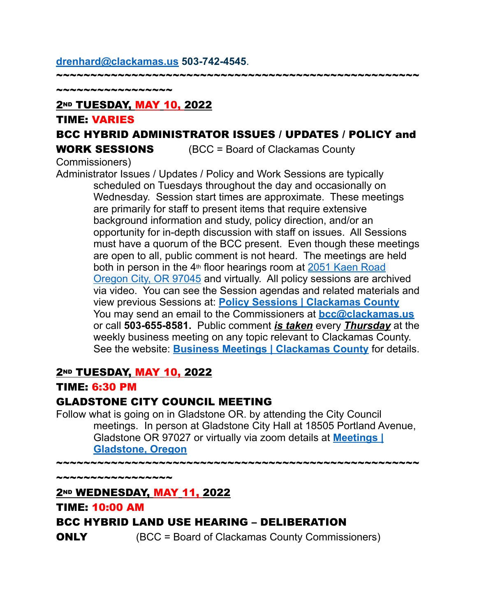#### **[drenhard@clackamas.us](mailto:drenhard@clackamas.us) 503-742-4545**.

~~~~~~~~~~~~~~~~

#### 2ND TUESDAY, MAY 10, 2022

#### TIME: VARIES

## BCC HYBRID ADMINISTRATOR ISSUES / UPDATES / POLICY and

WORK SESSIONS (BCC = Board of Clackamas County

~~~~~~~~~~~~~~~~~~~~~~~~~~~~~~~~~~~~~~~~~~~~~~~~~~~~~

Commissioners)

Administrator Issues / Updates / Policy and Work Sessions are typically scheduled on Tuesdays throughout the day and occasionally on Wednesday. Session start times are approximate. These meetings are primarily for staff to present items that require extensive background information and study, policy direction, and/or an opportunity for in-depth discussion with staff on issues. All Sessions must have a quorum of the BCC present. Even though these meetings are open to all, public comment is not heard. The meetings are held both in person in the 4<sup>th</sup> floor hearings room at 2051 Kaen Road [Oregon City, OR 97045](http://maps.google.com/maps?q=2051%20Kaen%20Road%20Oregon%20City%2C%20OR%2097045&c=45.3329205302%20-122.598746346) and virtually. All policy sessions are archived via video. You can see the Session agendas and related materials and view previous Sessions at: **[Policy Sessions | Clackamas County](https://www.clackamas.us/meetings/bcc/presentation)** You may send an email to the Commissioners at **[bcc@clackamas.us](mailto:bcc@clackamas.us)**  or call **503-655-8581.** Public comment *is taken* every *Thursday* at the weekly business meeting on any topic relevant to Clackamas County. See the website: **[Business Meetings | Clackamas County](https://www.clackamas.us/meetings/bcc/business)** for details.

## **2ND TUESDAY, MAY 10, 2022**

#### TIME: 6:30 PM

#### GLADSTONE CITY COUNCIL MEETING

Follow what is going on in Gladstone OR. by attending the City Council meetings. In person at Gladstone City Hall at 18505 Portland Avenue, Gladstone OR 97027 or virtually via zoom details at **[Meetings |](https://www.ci.gladstone.or.us/meetings?field_microsite_tid_1=27)  [Gladstone, Oregon](https://www.ci.gladstone.or.us/meetings?field_microsite_tid_1=27)**

~~~~~~~~~~~~~~~~~~~~~~~~~~~~~~~~~~~~~~~~~~~~~~~~~~~~~

~~~~~~~~~~~~~~~~~

## 2ND WEDNESDAY, MAY 11, 2022

# BCC HYBRID LAND USE HEARING – DELIBERATION

TIME: 10:00 AM

**ONLY** (BCC = Board of Clackamas County Commissioners)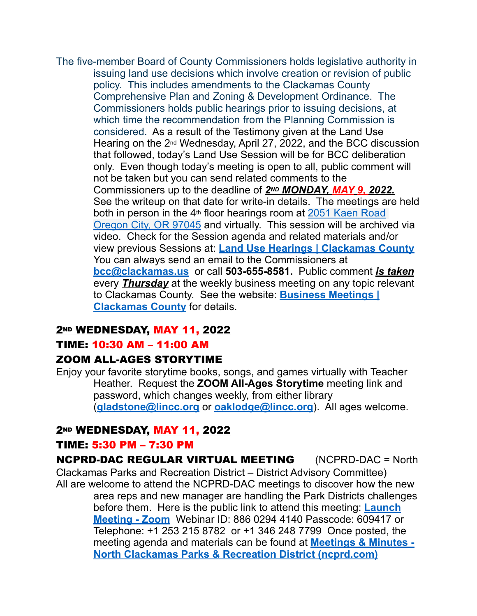The five-member Board of County Commissioners holds legislative authority in issuing land use decisions which involve creation or revision of public policy. This includes amendments to the Clackamas County Comprehensive Plan and Zoning & Development Ordinance. The Commissioners holds public hearings prior to issuing decisions, at which time the recommendation from the Planning Commission is considered. As a result of the Testimony given at the Land Use Hearing on the 2<sup>nd</sup> Wednesday, April 27, 2022, and the BCC discussion that followed, today's Land Use Session will be for BCC deliberation only. Even though today's meeting is open to all, public comment will not be taken but you can send related comments to the Commissioners up to the deadline of *2ND MONDAY, MAY 9, 2022.*  See the writeup on that date for write-in details. The meetings are held both in person in the 4<sup>th</sup> floor hearings room at **2051 Kaen Road** [Oregon City, OR 97045](http://maps.google.com/maps?q=2051%20Kaen%20Road%20Oregon%20City%2C%20OR%2097045&c=45.3329205302%20-122.598746346) and virtually. This session will be archived via video. Check for the Session agenda and related materials and/or view previous Sessions at: **[Land Use Hearings | Clackamas County](https://www.clackamas.us/meetings/bcc/landuse)** You can always send an email to the Commissioners at **[bcc@clackamas.us](mailto:bcc@clackamas.us)** or call **503-655-8581.** Public comment *is taken* every *Thursday* at the weekly business meeting on any topic relevant to Clackamas County. See the website: **[Business Meetings |](https://www.clackamas.us/meetings/bcc/business)  [Clackamas County](https://www.clackamas.us/meetings/bcc/business)** for details.

## 2ND WEDNESDAY, MAY 11, 2022

#### TIME: 10:30 AM – 11:00 AM

## ZOOM ALL-AGES STORYTIME

Enjoy your favorite storytime books, songs, and games virtually with Teacher Heather. Request the **ZOOM All-Ages Storytime** meeting link and password, which changes weekly, from either library (**[gladstone@lincc.org](mailto:gladstone@lincc.org)** or **[oaklodge@lincc.org](mailto:oaklodge@lincc.org)**). All ages welcome.

## **2ND WEDNESDAY, MAY 11, 2022**

#### TIME: 5:30 PM – 7:30 PM

NCPRD-DAC REGULAR VIRTUAL MEETING (NCPRD-DAC = North Clackamas Parks and Recreation District – District Advisory Committee) All are welcome to attend the NCPRD-DAC meetings to discover how the new area reps and new manager are handling the Park Districts challenges before them. Here is the public link to attend this meeting: **[Launch](https://clackamascounty.zoom.us/j/82659059093?pwd=emR5czVndWpHSjM3a2RTL0RsRzN3Zz09#success)  [Meeting - Zoom](https://clackamascounty.zoom.us/j/82659059093?pwd=emR5czVndWpHSjM3a2RTL0RsRzN3Zz09#success)** Webinar ID: 886 0294 4140 Passcode: 609417 or Telephone: +1 253 215 8782 or +1 346 248 7799 Once posted, the meeting agenda and materials can be found at **[Meetings & Minutes -](https://ncprd.com/public-meetings/meeting-minutes)  [North Clackamas Parks & Recreation District \(ncprd.com\)](https://ncprd.com/public-meetings/meeting-minutes)**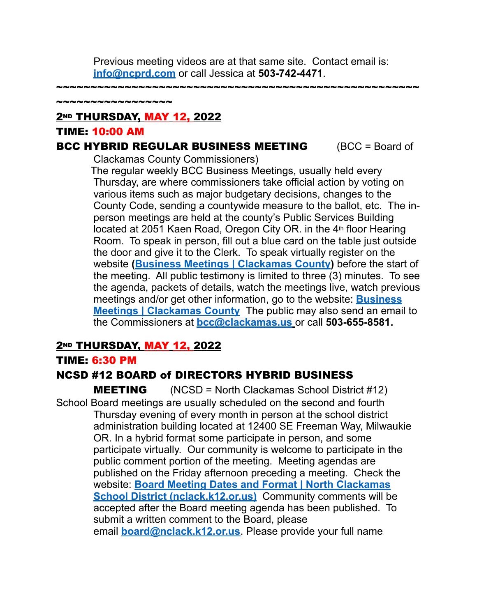Previous meeting videos are at that same site. Contact email is: **[info@ncprd.com](mailto:info@ncprd.com)** or call Jessica at **503-742-4471**.

~~~~~~~~~~~~~~~~~~~~~~~~~~~~~~~~

2ND THURSDAY, MAY 12, 2022

#### TIME: 10:00 AM

~~~~~~~~~~~~~~~~

#### **BCC HYBRID REGULAR BUSINESS MEETING** (BCC = Board of

Clackamas County Commissioners)

The regular weekly BCC Business Meetings, usually held every Thursday, are where commissioners take official action by voting on various items such as major budgetary decisions, changes to the County Code, sending a countywide measure to the ballot, etc. The inperson meetings are held at the county's Public Services Building located at 2051 Kaen Road, Oregon City OR. in the 4<sup>th</sup> floor Hearing Room. To speak in person, fill out a blue card on the table just outside the door and give it to the Clerk. To speak virtually register on the website **[\(Business Meetings | Clackamas County\)](https://www.clackamas.us/meetings/bcc/business)** before the start of the meeting. All public testimony is limited to three (3) minutes. To see the agenda, packets of details, watch the meetings live, watch previous meetings and/or get other information, go to the website: **[Business](https://www.clackamas.us/meetings/bcc/business)  [Meetings | Clackamas County](https://www.clackamas.us/meetings/bcc/business)** The public may also send an email to the Commissioners at **[bcc@clackamas.us](mailto:bcc@clackamas.us)** or call **503-655-8581.** 

## **2ND THURSDAY, MAY 12, 2022**

## TIME: 6:30 PM

## NCSD #12 BOARD of DIRECTORS HYBRID BUSINESS

MEETING(NCSD = North Clackamas School District #12) School Board meetings are usually scheduled on the second and fourth Thursday evening of every month in person at the school district administration building located at 12400 SE Freeman Way, Milwaukie OR. In a hybrid format some participate in person, and some participate virtually. Our community is welcome to participate in the public comment portion of the meeting. Meeting agendas are published on the Friday afternoon preceding a meeting. Check the website: **[Board Meeting Dates and Format | North Clackamas](https://www.nclack.k12.or.us/schoolboard/page/board-meeting-dates-and-format)  [School District \(nclack.k12.or.us\)](https://www.nclack.k12.or.us/schoolboard/page/board-meeting-dates-and-format)** Community comments will be accepted after the Board meeting agenda has been published. To submit a written comment to the Board, please email **[board@nclack.k12.or.us](mailto:board@nclack.12.or.us)**. Please provide your full name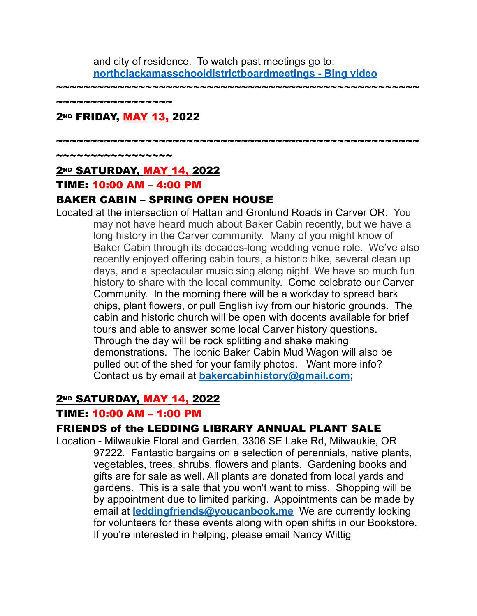and city of residence. To watch past meetings go to: **[northclackamasschooldistrictboardmeetings - Bing video](https://www.bing.com/videos/search?q=northclackamasschooldistrictboardmeetings&qpvt=northclackamasschooldistrictboardmeetings&FORM=VDRE)**

~~~~~~~~~~~~~~~~~~~~~~~~~~~~~~~~~~~~~~~~~~~~~~~~~~~~~

~~~~~~~~~~~~~~~

## **2ND FRIDAY, MAY 13, 2022**

~~~~~~~~~~~~~~~~~~~~~~~~~~~~~~~~~~~~~~~~~~~~~~~~~~~~~

~~~~~~~~~~~~~~~~

## 2<sup>ND</sup> SATURDAY, MAY 14, 2022

#### TIME: 10:00 AM – 4:00 PM

## BAKER CABIN – SPRING OPEN HOUSE

Located at the intersection of Hattan and Gronlund Roads in Carver OR. You may not have heard much about Baker Cabin recently, but we have a long history in the Carver community. Many of you might know of Baker Cabin through its decades-long wedding venue role. We've also recently enjoyed offering cabin tours, a historic hike, several clean up days, and a spectacular music sing along night. We have so much fun history to share with the local community. Come celebrate our Carver Community. In the morning there will be a workday to spread bark chips, plant flowers, or pull English ivy from our historic grounds. The cabin and historic church will be open with docents available for brief tours and able to answer some local Carver history questions. Through the day will be rock splitting and shake making demonstrations. The iconic Baker Cabin Mud Wagon will also be pulled out of the shed for your family photos. Want more info? Contact us by email at **[bakercabinhistory@gmail.com](mailto:bakercabinhistory@gmail.com);**

## **2ND SATURDAY, MAY 14, 2022**

#### TIME: 10:00 AM – 1:00 PM

## FRIENDS of the LEDDING LIBRARY ANNUAL PLANT SALE

Location - Milwaukie Floral and Garden, 3306 SE Lake Rd, Milwaukie, OR 97222. Fantastic bargains on a selection of perennials, native plants, vegetables, trees, shrubs, flowers and plants. Gardening books and gifts are for sale as well. All plants are donated from local yards and gardens. This is a sale that you won't want to miss. Shopping will be by appointment due to limited parking. Appointments can be made by email at **[leddingfriends@youcanbook.me](mailto:leddingfriends@youcanbook.me)** We are currently looking for volunteers for these events along with open shifts in our Bookstore. If you're interested in helping, please email Nancy Wittig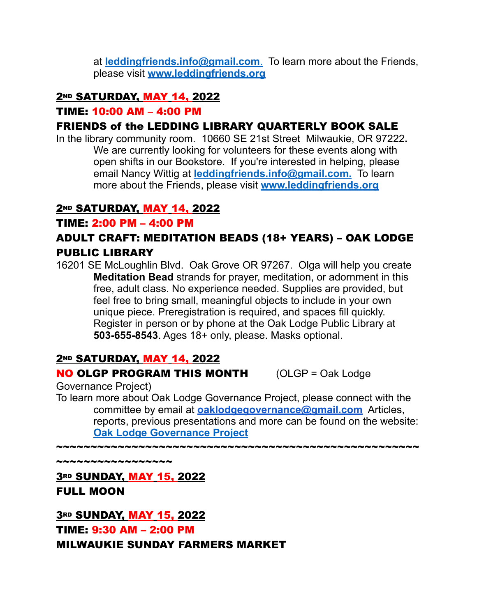at **[leddingfriends.info@gmail.com](mailto:leddingfriends@gmail.com)**. To learn more about the Friends, please visit **[www.leddingfriends.org](http://www.leddingfriends.org/)**

## **2ND SATURDAY, MAY 14, 2022**

#### TIME: 10:00 AM – 4:00 PM

## FRIENDS of the LEDDING LIBRARY QUARTERLY BOOK SALE

In the library community room. 10660 SE 21st Street Milwaukie, OR 97222**.**  We are currently looking for volunteers for these events along with open shifts in our Bookstore. If you're interested in helping, please email Nancy Wittig at **[leddingfriends.info@gmail.com.](mailto:leddingfriends@gmail.com)** To learn more about the Friends, please visit **[www.leddingfriends.org](http://www.leddingfriends.org/)**

## **2ND SATURDAY, MAY 14, 2022**

#### TIME: 2:00 PM – 4:00 PM

## ADULT CRAFT: MEDITATION BEADS (18+ YEARS) – OAK LODGE PUBLIC LIBRARY

16201 SE McLoughlin Blvd. Oak Grove OR 97267. Olga will help you create **Meditation Bead** strands for prayer, meditation, or adornment in this free, adult class. No experience needed. Supplies are provided, but feel free to bring small, meaningful objects to include in your own unique piece. Preregistration is required, and spaces fill quickly. Register in person or by phone at the Oak Lodge Public Library at **503-655-8543**. Ages 18+ only, please. Masks optional.

## **2ND SATURDAY, MAY 14, 2022**

## NO OLGP PROGRAM THIS MONTH (OLGP = Oak Lodge

~~~~~~~~~~~~~~~~~~~~~~~~~~~~~~~~~~~

Governance Project)

To learn more about Oak Lodge Governance Project, please connect with the committee by email at **[oaklodgegovernance@gmail.com](mailto:oaklodgegovernance@gmail.com)** Articles, reports, previous presentations and more can be found on the website: **[Oak Lodge Governance Project](http://oaklodgegovernanceproject.org/)**

~~~~~~~~~~~~~~~~~

**3RD SUNDAY, MAY 15, 2022** FULL MOON

**3RD SUNDAY, MAY 15, 2022** TIME: 9:30 AM – 2:00 PM MILWAUKIE SUNDAY FARMERS MARKET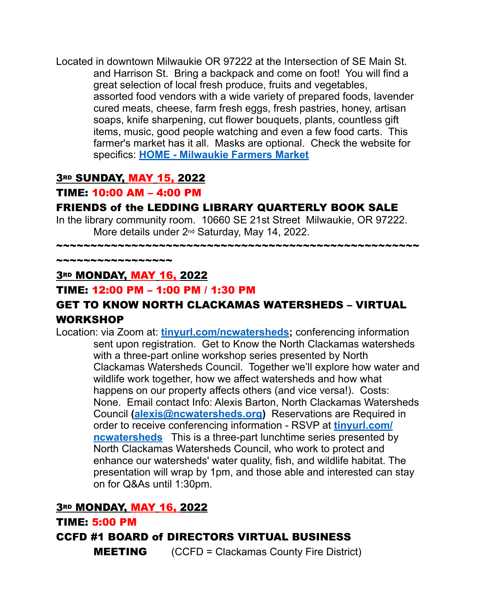Located in downtown Milwaukie OR 97222 at the Intersection of SE Main St. and Harrison St. Bring a backpack and come on foot! You will find a great selection of local fresh produce, fruits and vegetables, assorted food vendors with a wide variety of prepared foods, lavender cured meats, cheese, farm fresh eggs, fresh pastries, honey, artisan soaps, knife sharpening, cut flower bouquets, plants, countless gift items, music, good people watching and even a few food carts. This farmer's market has it all. Masks are optional. Check the website for specifics: **[HOME - Milwaukie Farmers Market](https://milwaukiefarmersmarket.com/)**

## **3RD SUNDAY, MAY 15, 2022**

#### TIME: 10:00 AM – 4:00 PM

#### FRIENDS of the LEDDING LIBRARY QUARTERLY BOOK SALE

In the library community room. 10660 SE 21st Street Milwaukie, OR 97222. More details under 2nd Saturday, May 14, 2022.

~~~~~~~~~~~~~~~~~~~~~~~~~~~~~~~~~~~~~~~~~~~~~~~~~~~~~

~~~~~~~~~~~~~~~~~

## 3RD MONDAY, MAY 16, 2022

#### TIME: 12:00 PM – 1:00 PM / 1:30 PM

## GET TO KNOW NORTH CLACKAMAS WATERSHEDS – VIRTUAL WORKSHOP

Location: via Zoom at: **[tinyurl.com/ncwatersheds](http://tinyurl.com/ncwatersheds);** conferencing information sent upon registration. Get to Know the North Clackamas watersheds with a three-part online workshop series presented by North Clackamas Watersheds Council. Together we'll explore how water and wildlife work together, how we affect watersheds and how what happens on our property affects others (and vice versa!). Costs: None. Email contact Info: Alexis Barton, North Clackamas Watersheds Council **([alexis@ncwatersheds.org\)](mailto:alexis.barton3@gmail.com)** Reservations are Required in order to receive conferencing information - RSVP at **[tinyurl.com/](https://tinyurl.com/ncwatersheds) [ncwatersheds](https://tinyurl.com/ncwatersheds)** This is a three-part lunchtime series presented by North Clackamas Watersheds Council, who work to protect and enhance our watersheds' water quality, fish, and wildlife habitat. The presentation will wrap by 1pm, and those able and interested can stay on for Q&As until 1:30pm.

## **3RD MONDAY, MAY 16, 2022**

#### TIME: 5:00 PM

#### CCFD #1 BOARD of DIRECTORS VIRTUAL BUSINESS

**MEETING** (CCFD = Clackamas County Fire District)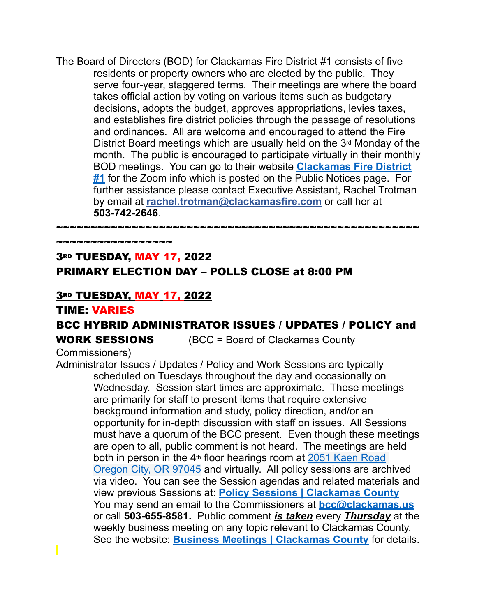The Board of Directors (BOD) for Clackamas Fire District #1 consists of five residents or property owners who are elected by the public. They serve four-year, staggered terms. Their meetings are where the board takes official action by voting on various items such as budgetary decisions, adopts the budget, approves appropriations, levies taxes, and establishes fire district policies through the passage of resolutions and ordinances. All are welcome and encouraged to attend the Fire District Board meetings which are usually held on the 3rd Monday of the month. The public is encouraged to participate virtually in their monthly BOD meetings. You can go to their website **[Clackamas Fire District](https://clackamasfire.com/)  [#1](https://clackamasfire.com/)** for the Zoom info which is posted on the Public Notices page. For further assistance please contact Executive Assistant, Rachel Trotman by email at **[rachel.trotman@clackamasfire.com](mailto:rachel.trotman@clackamasfire.com)** or call her at **503-742-2646**.

~~~~~~~~~~~~~~~~~~~~~~~~~~~~~~~~~~~~~~~~~~~~~~~~~~~~~

# 3RD TUESDAY, MAY 17, 2022 PRIMARY ELECTION DAY – POLLS CLOSE at 8:00 PM

## **3RD TUESDAY, MAY 17, 2022**

\*\*\*\*\*\*\*\*\*\*\*\*\*\*\*\*\*

#### TIME: VARIES

# BCC HYBRID ADMINISTRATOR ISSUES / UPDATES / POLICY and

WORK SESSIONS (BCC = Board of Clackamas County

## Commissioners)

Administrator Issues / Updates / Policy and Work Sessions are typically scheduled on Tuesdays throughout the day and occasionally on Wednesday. Session start times are approximate. These meetings are primarily for staff to present items that require extensive background information and study, policy direction, and/or an opportunity for in-depth discussion with staff on issues. All Sessions must have a quorum of the BCC present. Even though these meetings are open to all, public comment is not heard. The meetings are held both in person in the  $4<sup>th</sup>$  floor hearings room at 2051 Kaen Road [Oregon City, OR 97045](http://maps.google.com/maps?q=2051%20Kaen%20Road%20Oregon%20City%2C%20OR%2097045&c=45.3329205302%20-122.598746346) and virtually. All policy sessions are archived via video. You can see the Session agendas and related materials and view previous Sessions at: **[Policy Sessions | Clackamas County](https://www.clackamas.us/meetings/bcc/presentation)** You may send an email to the Commissioners at **[bcc@clackamas.us](mailto:bcc@clackamas.us)**  or call **503-655-8581.** Public comment *is taken* every *Thursday* at the weekly business meeting on any topic relevant to Clackamas County. See the website: **[Business Meetings | Clackamas County](https://www.clackamas.us/meetings/bcc/business)** for details.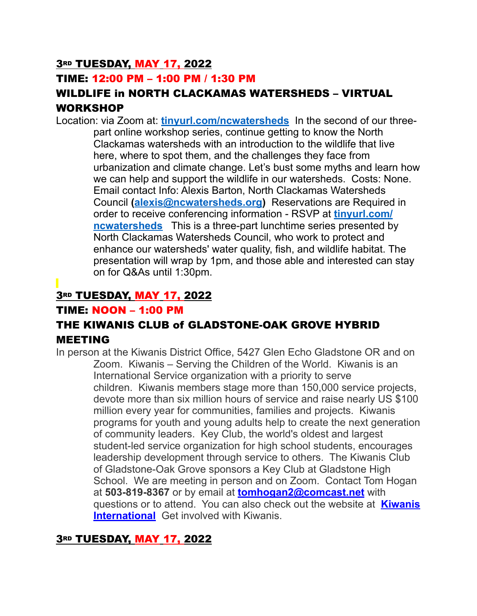## **3RD TUESDAY, MAY 17, 2022**

## TIME: 12:00 PM – 1:00 PM / 1:30 PM

## WILDLIFE in NORTH CLACKAMAS WATERSHEDS – VIRTUAL WORKSHOP

Location: via Zoom at: **[tinyurl.com/ncwatersheds](http://tinyurl.com/ncwatersheds)** In the second of our threepart online workshop series, continue getting to know the North Clackamas watersheds with an introduction to the wildlife that live here, where to spot them, and the challenges they face from urbanization and climate change. Let's bust some myths and learn how we can help and support the wildlife in our watersheds. Costs: None. Email contact Info: Alexis Barton, North Clackamas Watersheds Council **([alexis@ncwatersheds.org\)](mailto:alexis.barton3@gmail.com)** Reservations are Required in order to receive conferencing information - RSVP at **[tinyurl.com/](https://tinyurl.com/ncwatersheds) [ncwatersheds](https://tinyurl.com/ncwatersheds)** This is a three-part lunchtime series presented by North Clackamas Watersheds Council, who work to protect and enhance our watersheds' water quality, fish, and wildlife habitat. The presentation will wrap by 1pm, and those able and interested can stay on for Q&As until 1:30pm.

# **3RD TUESDAY, MAY 17, 2022**

#### TIME: NOON – 1:00 PM

## THE KIWANIS CLUB of GLADSTONE-OAK GROVE HYBRID MEETING

In person at the Kiwanis District Office, 5427 Glen Echo Gladstone OR and on Zoom. Kiwanis – Serving the Children of the World. Kiwanis is an International Service organization with a priority to serve children. Kiwanis members stage more than 150,000 service projects, devote more than six million hours of service and raise nearly US \$100 million every year for communities, families and projects. Kiwanis programs for youth and young adults help to create the next generation of community leaders. Key Club, the world's oldest and largest student-led service organization for high school students, encourages leadership development through service to others. The Kiwanis Club of Gladstone-Oak Grove sponsors a Key Club at Gladstone High School. We are meeting in person and on Zoom. Contact Tom Hogan at **503-819-8367** or by email at **[tomhogan2@comcast.net](mailto:tomhogan2@comcast.net)** with questions or to attend. You can also check out the website at **[Kiwanis](https://www.kiwanis.org/)  [International](https://www.kiwanis.org/)** Get involved with Kiwanis.

## 3RD TUESDAY, MAY 17, 2022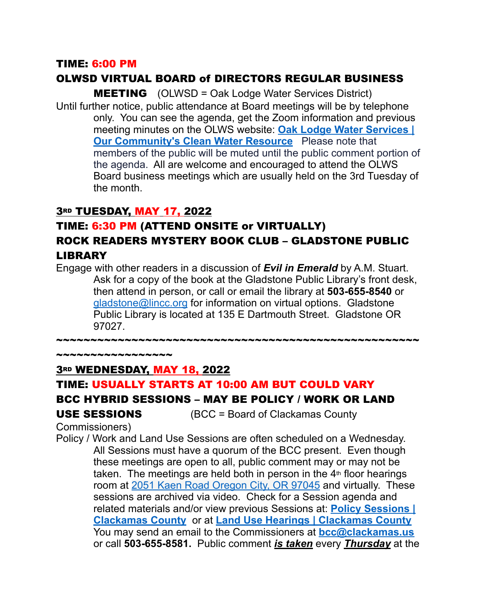#### TIME: 6:00 PM

## OLWSD VIRTUAL BOARD of DIRECTORS REGULAR BUSINESS

**MEETING** (OLWSD = Oak Lodge Water Services District) Until further notice, public attendance at Board meetings will be by telephone only. You can see the agenda, get the Zoom information and previous meeting minutes on the OLWS website: **[Oak Lodge Water Services |](https://www.oaklodgewaterservices.org/)  [Our Community's Clean Water Resource](https://www.oaklodgewaterservices.org/)** Please note that members of the public will be muted until the public comment portion of the agenda. All are welcome and encouraged to attend the OLWS Board business meetings which are usually held on the 3rd Tuesday of the month.

## 3RD TUESDAY, MAY 17, 2022

## TIME: 6:30 PM (ATTEND ONSITE or VIRTUALLY) ROCK READERS MYSTERY BOOK CLUB – GLADSTONE PUBLIC LIBRARY

Engage with other readers in a discussion of *Evil in Emerald* by A.M. Stuart. Ask for a copy of the book at the Gladstone Public Library's front desk, then attend in person, or call or email the library at **503-655-8540** or [gladstone@lincc.org](mailto:gladstone@lincc.org) for information on virtual options. Gladstone Public Library is located at 135 E Dartmouth Street. Gladstone OR 97027.

~~~~~~~~~~~~~~~~~~~~~~~~~~~~~~~~~~~~~~~~~~~~~~~~~~~~~

## 3RD WEDNESDAY, MAY 18, 2022

#### TIME: USUALLY STARTS AT 10:00 AM BUT COULD VARY

#### BCC HYBRID SESSIONS – MAY BE POLICY / WORK OR LAND

\*\*\*\*\*\*\*\*\*\*\*\*\*\*\*\*\*

USE SESSIONS (BCC = Board of Clackamas County

Commissioners)

Policy / Work and Land Use Sessions are often scheduled on a Wednesday. All Sessions must have a quorum of the BCC present. Even though these meetings are open to all, public comment may or may not be taken. The meetings are held both in person in the  $4<sup>th</sup>$  floor hearings room at [2051 Kaen Road Oregon City, OR 97045](http://maps.google.com/maps?q=2051%20Kaen%20Road%20Oregon%20City%2C%20OR%2097045&c=45.3329205302%20-122.598746346) and virtually. These sessions are archived via video. Check for a Session agenda and related materials and/or view previous Sessions at: **[Policy Sessions |](https://www.clackamas.us/meetings/bcc/presentation)  [Clackamas County](https://www.clackamas.us/meetings/bcc/presentation)** or at **[Land Use Hearings | Clackamas County](https://www.clackamas.us/meetings/bcc/landuse)** You may send an email to the Commissioners at **[bcc@clackamas.us](mailto:bcc@clackamas.us)**  or call **503-655-8581.** Public comment *is taken* every *Thursday* at the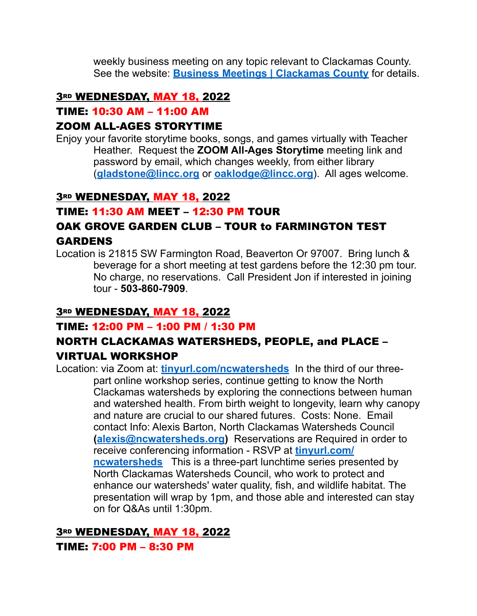weekly business meeting on any topic relevant to Clackamas County. See the website: **[Business Meetings | Clackamas County](https://www.clackamas.us/meetings/bcc/business)** for details.

#### 3RD WEDNESDAY, MAY 18, 2022

#### TIME: 10:30 AM – 11:00 AM

#### ZOOM ALL-AGES STORYTIME

Enjoy your favorite storytime books, songs, and games virtually with Teacher Heather. Request the **ZOOM All-Ages Storytime** meeting link and password by email, which changes weekly, from either library (**[gladstone@lincc.org](mailto:gladstone@lincc.org)** or **[oaklodge@lincc.org](mailto:oaklodge@lincc.org)**). All ages welcome.

#### 3RD WEDNESDAY, MAY 18, 2022

## TIME: 11:30 AM MEET – 12:30 PM TOUR

# OAK GROVE GARDEN CLUB – TOUR to FARMINGTON TEST

#### GARDENS

Location is 21815 SW Farmington Road, Beaverton Or 97007. Bring lunch & beverage for a short meeting at test gardens before the 12:30 pm tour. No charge, no reservations. Call President Jon if interested in joining tour - **503-860-7909**.

## 3RD WEDNESDAY, MAY 18, 2022

## TIME: 12:00 PM – 1:00 PM / 1:30 PM

## NORTH CLACKAMAS WATERSHEDS, PEOPLE, and PLACE – VIRTUAL WORKSHOP

Location: via Zoom at: **[tinyurl.com/ncwatersheds](http://tinyurl.com/ncwatersheds)** In the third of our threepart online workshop series, continue getting to know the North Clackamas watersheds by exploring the connections between human and watershed health. From birth weight to longevity, learn why canopy and nature are crucial to our shared futures. Costs: None. Email contact Info: Alexis Barton, North Clackamas Watersheds Council **[\(alexis@ncwatersheds.org\)](mailto:alexis.barton3@gmail.com)** Reservations are Required in order to receive conferencing information - RSVP at **[tinyurl.com/](https://tinyurl.com/ncwatersheds) [ncwatersheds](https://tinyurl.com/ncwatersheds)** This is a three-part lunchtime series presented by North Clackamas Watersheds Council, who work to protect and enhance our watersheds' water quality, fish, and wildlife habitat. The presentation will wrap by 1pm, and those able and interested can stay on for Q&As until 1:30pm.

## 3RD WEDNESDAY, MAY 18, 2022

#### TIME: 7:00 PM – 8:30 PM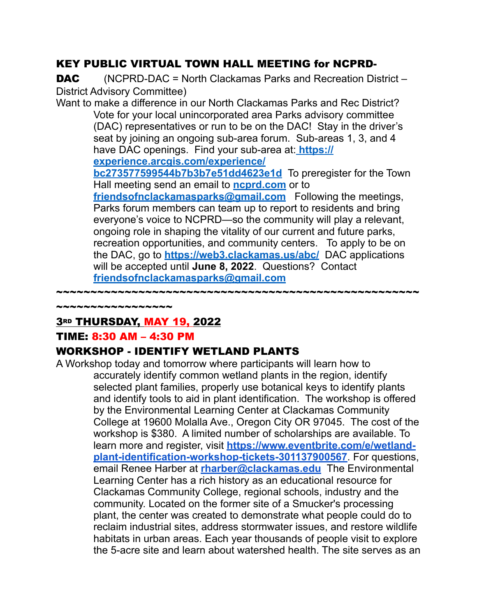## KEY PUBLIC VIRTUAL TOWN HALL MEETING for NCPRD-

**DAC** (NCPRD-DAC = North Clackamas Parks and Recreation District – District Advisory Committee)

Want to make a difference in our North Clackamas Parks and Rec District? Vote for your local unincorporated area Parks advisory committee (DAC) representatives or run to be on the DAC! Stay in the driver's seat by joining an ongoing sub-area forum. Sub-areas 1, 3, and 4 have DAC openings. Find your sub-area at: **[https://](https://experience.arcgis.com/experience/bc273577599544b7b3b7e51dd4623e1d)**

**[experience.arcgis.com/experience/](https://experience.arcgis.com/experience/bc273577599544b7b3b7e51dd4623e1d)**

**[bc273577599544b7b3b7e51dd4623e1d](https://experience.arcgis.com/experience/bc273577599544b7b3b7e51dd4623e1d)** To preregister for the Town Hall meeting send an email to **[ncprd.com](mailto:ncprd.com)** or to

**[friendsofnclackamasparks@gmail.com](mailto:friendsofnclackamasparks@gmail.com)** Following the meetings, Parks forum members can team up to report to residents and bring everyone's voice to NCPRD—so the community will play a relevant, ongoing role in shaping the vitality of our current and future parks, recreation opportunities, and community centers. To apply to be on the DAC, go to **<https://web3.clackamas.us/abc/>** DAC applications will be accepted until **June 8, 2022**. Questions? Contact **[friendsofnclackamasparks@gmail.com](mailto:friendsofnclackamasparks@gmail.com)**

~~~~~~~~~~~~~~~~~~~~

3RD THURSDAY, MAY 19, 2022

## TIME: 8:30 AM – 4:30 PM

~~~~~~~~~~~

## WORKSHOP - IDENTIFY WETLAND PLANTS

A Workshop today and tomorrow where participants will learn how to accurately identify common wetland plants in the region, identify selected plant families, properly use botanical keys to identify plants and identify tools to aid in plant identification. The workshop is offered by the Environmental Learning Center at Clackamas Community College at 19600 Molalla Ave., Oregon City OR 97045. The cost of the workshop is \$380. A limited number of scholarships are available. To learn more and register, visit **[https://www.eventbrite.com/e/wetland](https://www.eventbrite.com/e/wetland-plant-identification-workshop-tickets-301137900567)[plant-identification-workshop-tickets-301137900567](https://www.eventbrite.com/e/wetland-plant-identification-workshop-tickets-301137900567)**. For questions, email Renee Harber at **[rharber@clackamas.edu](mailto:rharber@clackamas.edu)** The Environmental Learning Center has a rich history as an educational resource for Clackamas Community College, regional schools, industry and the community. Located on the former site of a Smucker's processing plant, the center was created to demonstrate what people could do to reclaim industrial sites, address stormwater issues, and restore wildlife habitats in urban areas. Each year thousands of people visit to explore the 5-acre site and learn about watershed health. The site serves as an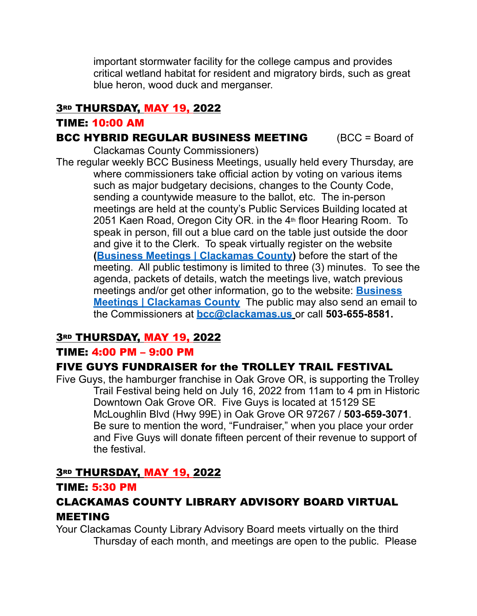important stormwater facility for the college campus and provides critical wetland habitat for resident and migratory birds, such as great blue heron, wood duck and merganser.

## **3RD THURSDAY, MAY 19, 2022**

#### TIME: 10:00 AM

#### **BCC HYBRID REGULAR BUSINESS MEETING (BCC = Board of**

Clackamas County Commissioners) The regular weekly BCC Business Meetings, usually held every Thursday, are where commissioners take official action by voting on various items such as major budgetary decisions, changes to the County Code, sending a countywide measure to the ballot, etc. The in-person meetings are held at the county's Public Services Building located at 2051 Kaen Road, Oregon City OR. in the 4<sup>th</sup> floor Hearing Room. To speak in person, fill out a blue card on the table just outside the door and give it to the Clerk. To speak virtually register on the website **[\(Business Meetings | Clackamas County\)](https://www.clackamas.us/meetings/bcc/business)** before the start of the meeting. All public testimony is limited to three (3) minutes. To see the agenda, packets of details, watch the meetings live, watch previous meetings and/or get other information, go to the website: **[Business](https://www.clackamas.us/meetings/bcc/business)  [Meetings | Clackamas County](https://www.clackamas.us/meetings/bcc/business)** The public may also send an email to the Commissioners at **[bcc@clackamas.us](mailto:bcc@clackamas.us)** or call **503-655-8581.** 

## **3RD THURSDAY, MAY 19, 2022**

#### TIME: 4:00 PM – 9:00 PM

## FIVE GUYS FUNDRAISER for the TROLLEY TRAIL FESTIVAL

Five Guys, the hamburger franchise in Oak Grove OR, is supporting the Trolley Trail Festival being held on July 16, 2022 from 11am to 4 pm in Historic Downtown Oak Grove OR. Five Guys is located at 15129 SE McLoughlin Blvd (Hwy 99E) in Oak Grove OR 97267 / **503-659-3071**. Be sure to mention the word, "Fundraiser," when you place your order and Five Guys will donate fifteen percent of their revenue to support of the festival.

## **3RD THURSDAY, MAY 19, 2022**

#### TIME: 5:30 PM

## CLACKAMAS COUNTY LIBRARY ADVISORY BOARD VIRTUAL MEETING

Your Clackamas County Library Advisory Board meets virtually on the third Thursday of each month, and meetings are open to the public. Please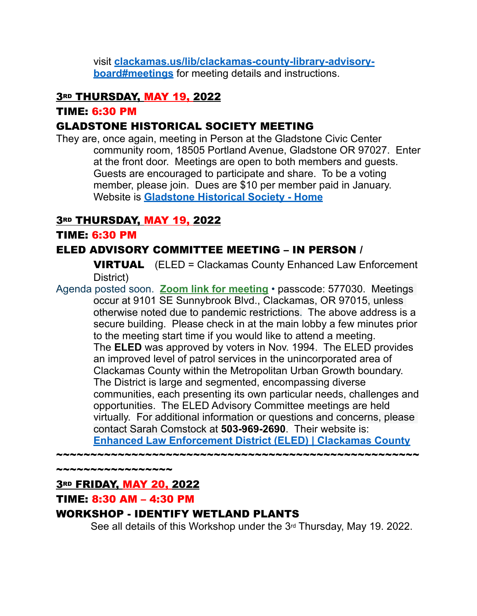visit **[clackamas.us/lib/clackamas-county-library-advisory](https://clackamas.us/lib/clackamas-county-library-advisory-board#meetings)[board#meetings](https://clackamas.us/lib/clackamas-county-library-advisory-board#meetings)** for meeting details and instructions.

## **3RD THURSDAY, MAY 19, 2022**

TIME: 6:30 PM

## GLADSTONE HISTORICAL SOCIETY MEETING

They are, once again, meeting in Person at the Gladstone Civic Center community room, 18505 Portland Avenue, Gladstone OR 97027. Enter at the front door. Meetings are open to both members and guests. Guests are encouraged to participate and share. To be a voting member, please join. Dues are \$10 per member paid in January. Website is **[Gladstone Historical Society - Home](http://www.gladstonehistoricalsociety.org/)**

#### **3RD THURSDAY, MAY 19, 2022**

#### TIME: 6:30 PM

## ELED ADVISORY COMMITTEE MEETING – IN PERSON /

**VIRTUAL** (ELED = Clackamas County Enhanced Law Enforcement District)

Agenda posted soon. **[Zoom link for meeting](https://clackamascounty.zoom.us/j/89639797780?pwd=RHdKRDQrVWhQZVB2N3QwV0Q0ODE4QT09)** • passcode: 577030. Meetings occur at 9101 SE Sunnybrook Blvd., Clackamas, OR 97015, unless otherwise noted due to pandemic restrictions. The above address is a secure building. Please check in at the main lobby a few minutes prior to the meeting start time if you would like to attend a meeting. The **ELED** was approved by voters in Nov. 1994. The ELED provides an improved level of patrol services in the unincorporated area of Clackamas County within the Metropolitan Urban Growth boundary. The District is large and segmented, encompassing diverse communities, each presenting its own particular needs, challenges and opportunities. The ELED Advisory Committee meetings are held virtually. For additional information or questions and concerns, please contact Sarah Comstock at **503-969-2690**. Their website is: **[Enhanced Law Enforcement District \(ELED\) | Clackamas County](https://www.clackamas.us/sheriff/eled.html)**

~~~~~~~~~~~~~

## **3RD FRIDAY, MAY 20, 2022**

## TIME: 8:30 AM – 4:30 PM

## WORKSHOP - IDENTIFY WETLAND PLANTS

See all details of this Workshop under the 3<sup>rd</sup> Thursday, May 19. 2022.

~~~~~~~~~~~~~~~~~~~~~~~~~~~~~~~~~~~~~~~~~~~~~~~~~~~~~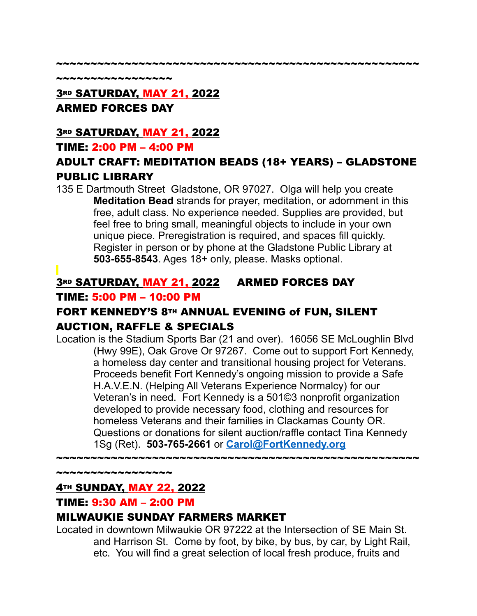#### ~~~~~~~~~~~~~~~~~~~~~~~~~~~~~~~~~~~~~~~~~~~~~~~~~~~~~

\*\*\*\*\*\*\*\*\*\*\*\*\*\*\*\*\*

# **3RD SATURDAY, MAY 21, 2022** ARMED FORCES DAY

## **3RD SATURDAY, MAY 21, 2022**

## TIME: 2:00 PM – 4:00 PM

# ADULT CRAFT: MEDITATION BEADS (18+ YEARS) – GLADSTONE PUBLIC LIBRARY

135 E Dartmouth Street Gladstone, OR 97027. Olga will help you create **Meditation Bead** strands for prayer, meditation, or adornment in this free, adult class. No experience needed. Supplies are provided, but feel free to bring small, meaningful objects to include in your own unique piece. Preregistration is required, and spaces fill quickly. Register in person or by phone at the Gladstone Public Library at **503-655-8543**. Ages 18+ only, please. Masks optional.

## 3RD SATURDAY, MAY 21, 2022 ARMED FORCES DAY

## TIME: 5:00 PM – 10:00 PM

## FORT KENNEDY'S 8TH ANNUAL EVENING of FUN, SILENT AUCTION, RAFFLE & SPECIALS

Location is the Stadium Sports Bar (21 and over). 16056 SE McLoughlin Blvd (Hwy 99E), Oak Grove Or 97267. Come out to support Fort Kennedy, a homeless day center and transitional housing project for Veterans. Proceeds benefit Fort Kennedy's ongoing mission to provide a Safe H.A.V.E.N. (Helping All Veterans Experience Normalcy) for our Veteran's in need. Fort Kennedy is a 501©3 nonprofit organization developed to provide necessary food, clothing and resources for homeless Veterans and their families in Clackamas County OR. Questions or donations for silent auction/raffle contact Tina Kennedy 1Sg (Ret). **503-765-2661** or **[Carol@FortKennedy.org](mailto:Carol@FortKennedy.org)**

~~~~~~~~~~~~~~~~~~~~~~~~~~~~~~~~~~~~~~~~~~~~~~~~~~~~~

~~~~~~~~~~~~~~~~~

## 4TH SUNDAY, MAY 22, 2022

## TIME: 9:30 AM – 2:00 PM

## MILWAUKIE SUNDAY FARMERS MARKET

Located in downtown Milwaukie OR 97222 at the Intersection of SE Main St. and Harrison St. Come by foot, by bike, by bus, by car, by Light Rail, etc. You will find a great selection of local fresh produce, fruits and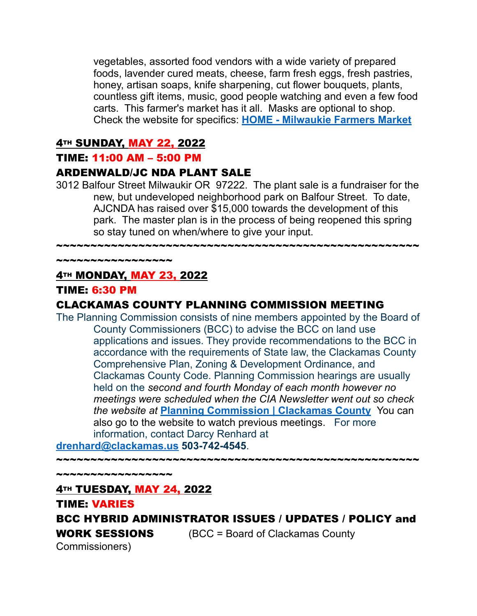vegetables, assorted food vendors with a wide variety of prepared foods, lavender cured meats, cheese, farm fresh eggs, fresh pastries, honey, artisan soaps, knife sharpening, cut flower bouquets, plants, countless gift items, music, good people watching and even a few food carts. This farmer's market has it all. Masks are optional to shop. Check the website for specifics: **[HOME - Milwaukie Farmers Market](https://milwaukiefarmersmarket.com/)**

#### **4TH SUNDAY, MAY 22, 2022**

#### TIME: 11:00 AM – 5:00 PM

#### ARDENWALD/JC NDA PLANT SALE

3012 Balfour Street Milwaukir OR 97222. The plant sale is a fundraiser for the new, but undeveloped neighborhood park on Balfour Street. To date, AJCNDA has raised over \$15,000 towards the development of this park. The master plan is in the process of being reopened this spring so stay tuned on when/where to give your input.

~~~~~~~~~~~~~~~~~~~~~~~~~~~~~~~~~~~~~~~~~~~~~~~~~~~~~

~~~~~~~~~~~~~~~~~

## 4TH MONDAY, MAY 23, 2022

#### TIME: 6:30 PM

## CLACKAMAS COUNTY PLANNING COMMISSION MEETING

The Planning Commission consists of nine members appointed by the Board of County Commissioners (BCC) to advise the BCC on land use applications and issues. They provide recommendations to the BCC in accordance with the requirements of State law, the Clackamas County Comprehensive Plan, Zoning & Development Ordinance, and Clackamas County Code. Planning Commission hearings are usually held on the *second and fourth Monday of each month however no meetings were scheduled when the CIA Newsletter went out so check the website at* **[Planning Commission | Clackamas County](https://www.clackamas.us/planning/planning-commission)** You can also go to the website to watch previous meetings. For more information, contact Darcy Renhard at

**[drenhard@clackamas.us](mailto:drenhard@clackamas.us) 503-742-4545**.

~~~~~~~~~~~~~~~~~~~~~~~~~~~~~~~~~~

~~~~~~~~~~~~~~~~~

## **4TH TUESDAY, MAY 24, 2022**

TIME: VARIES BCC HYBRID ADMINISTRATOR ISSUES / UPDATES / POLICY and **WORK SESSIONS** (BCC = Board of Clackamas County Commissioners)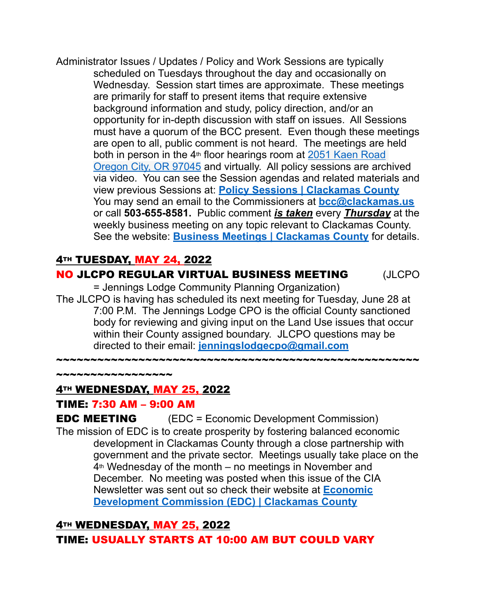Administrator Issues / Updates / Policy and Work Sessions are typically scheduled on Tuesdays throughout the day and occasionally on Wednesday. Session start times are approximate. These meetings are primarily for staff to present items that require extensive background information and study, policy direction, and/or an opportunity for in-depth discussion with staff on issues. All Sessions must have a quorum of the BCC present. Even though these meetings are open to all, public comment is not heard. The meetings are held both in person in the  $4<sup>th</sup>$  floor hearings room at 2051 Kaen Road [Oregon City, OR 97045](http://maps.google.com/maps?q=2051%20Kaen%20Road%20Oregon%20City%2C%20OR%2097045&c=45.3329205302%20-122.598746346) and virtually. All policy sessions are archived via video. You can see the Session agendas and related materials and view previous Sessions at: **[Policy Sessions | Clackamas County](https://www.clackamas.us/meetings/bcc/presentation)** You may send an email to the Commissioners at **[bcc@clackamas.us](mailto:bcc@clackamas.us)**  or call **503-655-8581.** Public comment *is taken* every *Thursday* at the weekly business meeting on any topic relevant to Clackamas County. See the website: **[Business Meetings | Clackamas County](https://www.clackamas.us/meetings/bcc/business)** for details.

## **4TH TUESDAY, MAY 24, 2022**

## NO JLCPO REGULAR VIRTUAL BUSINESS MEETING (JLCPO

= Jennings Lodge Community Planning Organization) The JLCPO is having has scheduled its next meeting for Tuesday, June 28 at 7:00 P.M. The Jennings Lodge CPO is the official County sanctioned body for reviewing and giving input on the Land Use issues that occur within their County assigned boundary. JLCPO questions may be directed to their email: **[jenningslodgecpo@gmail.com](mailto:jenningslodgecpo@gmail.com)**

 $\boldsymbol{*}$ 

## 4TH WEDNESDAY, MAY 25, 2022

#### TIME: 7:30 AM – 9:00 AM

~~~~~~~~~~~~~~~

EDC MEETING (EDC = Economic Development Commission) The mission of EDC is to create prosperity by fostering balanced economic development in Clackamas County through a close partnership with government and the private sector. Meetings usually take place on the  $4<sup>th</sup>$  Wednesday of the month – no meetings in November and December. No meeting was posted when this issue of the CIA Newsletter was sent out so check their website at **[Economic](https://www.clackamas.us/business/edc.html)  [Development Commission \(EDC\) | Clackamas County](https://www.clackamas.us/business/edc.html)**

## **4TH WEDNESDAY, MAY 25, 2022**

TIME: USUALLY STARTS AT 10:00 AM BUT COULD VARY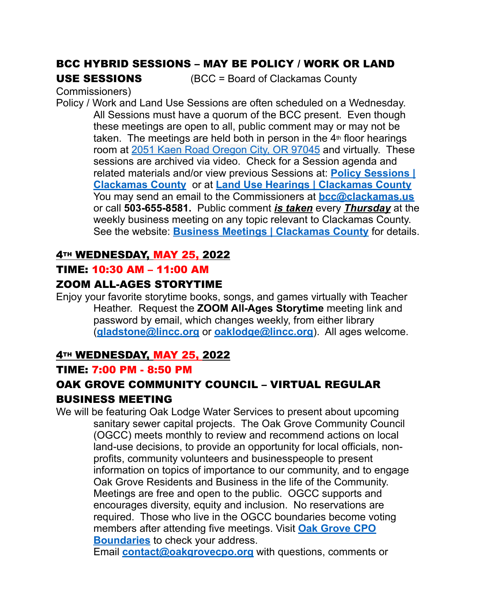# BCC HYBRID SESSIONS – MAY BE POLICY / WORK OR LAND

USE SESSIONS (BCC = Board of Clackamas County

Commissioners)

Policy / Work and Land Use Sessions are often scheduled on a Wednesday. All Sessions must have a quorum of the BCC present. Even though these meetings are open to all, public comment may or may not be taken. The meetings are held both in person in the  $4<sup>th</sup>$  floor hearings room at [2051 Kaen Road Oregon City, OR 97045](http://maps.google.com/maps?q=2051%20Kaen%20Road%20Oregon%20City%2C%20OR%2097045&c=45.3329205302%20-122.598746346) and virtually. These sessions are archived via video. Check for a Session agenda and related materials and/or view previous Sessions at: **[Policy Sessions |](https://www.clackamas.us/meetings/bcc/presentation)  [Clackamas County](https://www.clackamas.us/meetings/bcc/presentation)** or at **[Land Use Hearings | Clackamas County](https://www.clackamas.us/meetings/bcc/landuse)** You may send an email to the Commissioners at **[bcc@clackamas.us](mailto:bcc@clackamas.us)**  or call **503-655-8581.** Public comment *is taken* every *Thursday* at the weekly business meeting on any topic relevant to Clackamas County. See the website: **[Business Meetings | Clackamas County](https://www.clackamas.us/meetings/bcc/business)** for details.

#### **4TH WEDNESDAY, MAY 25, 2022**

#### TIME: 10:30 AM – 11:00 AM

## ZOOM ALL-AGES STORYTIME

Enjoy your favorite storytime books, songs, and games virtually with Teacher Heather. Request the **ZOOM All-Ages Storytime** meeting link and password by email, which changes weekly, from either library (**[gladstone@lincc.org](mailto:gladstone@lincc.org)** or **[oaklodge@lincc.org](mailto:oaklodge@lincc.org)**). All ages welcome.

## **4TH WEDNESDAY, MAY 25, 2022**

#### TIME: 7:00 PM - 8:50 PM

## OAK GROVE COMMUNITY COUNCIL – VIRTUAL REGULAR BUSINESS MEETING

We will be featuring Oak Lodge Water Services to present about upcoming sanitary sewer capital projects. The Oak Grove Community Council (OGCC) meets monthly to review and recommend actions on local land-use decisions, to provide an opportunity for local officials, nonprofits, community volunteers and businesspeople to present information on topics of importance to our community, and to engage Oak Grove Residents and Business in the life of the Community. Meetings are free and open to the public. OGCC supports and encourages diversity, equity and inclusion. No reservations are required. Those who live in the OGCC boundaries become voting members after attending five meetings. Visit **[Oak Grove CPO](https://na01.safelinks.protection.outlook.com/?url=https%3A%2F%2Fdochub.clackamas.us%2Fdocuments%2Fdrupal%2F27ae3958-e48f-4118-a686-211f5d15aba3&data=04%7C01%7C%7C21dcaa2d4f7944036ee808d97c9c6d86%7C84df9e7fe9f640afb435aaaaaaaaaaaa%7C1%7C0%7C637677833553786931%7CUnknown%7CTWFpbGZsb3d8eyJWIjoiMC4wLjAwMDAiLCJQIjoiV2luMzIiLCJBTiI6Ik1haWwiLCJXVCI6Mn0%3D%7C1000&sdata=jBjHWB2uWGwqf5V8rMBEuU%2BKNoEutnkusD3QE6314D8%3D&reserved=0)  [Boundaries](https://na01.safelinks.protection.outlook.com/?url=https%3A%2F%2Fdochub.clackamas.us%2Fdocuments%2Fdrupal%2F27ae3958-e48f-4118-a686-211f5d15aba3&data=04%7C01%7C%7C21dcaa2d4f7944036ee808d97c9c6d86%7C84df9e7fe9f640afb435aaaaaaaaaaaa%7C1%7C0%7C637677833553786931%7CUnknown%7CTWFpbGZsb3d8eyJWIjoiMC4wLjAwMDAiLCJQIjoiV2luMzIiLCJBTiI6Ik1haWwiLCJXVCI6Mn0%3D%7C1000&sdata=jBjHWB2uWGwqf5V8rMBEuU%2BKNoEutnkusD3QE6314D8%3D&reserved=0)** to check your address.

Email **[contact@oakgrovecpo.org](mailto:contact@oakgrovecpo.org)** with questions, comments or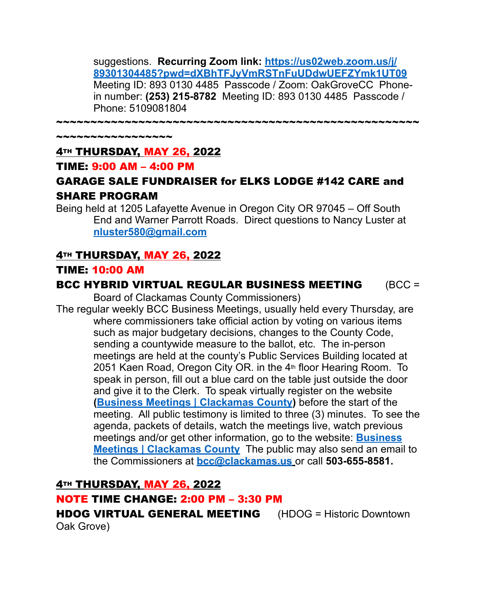suggestions. **Recurring Zoom link: [https://us02web.zoom.us/j/](https://na01.safelinks.protection.outlook.com/?url=https%3A%2F%2Fus02web.zoom.us%2Fj%2F89301304485%3Fpwd%3DdXBhTFJyVmRSTnFuUDdwUEFZYmk1UT09&data=04%7C01%7C%7C21dcaa2d4f7944036ee808d97c9c6d86%7C84df9e7fe9f640afb435aaaaaaaaaaaa%7C1%7C0%7C637677833553786931%7CUnknown%7CTWFpbGZsb3d8eyJWIjoiMC4wLjAwMDAiLCJQIjoiV2luMzIiLCJBTiI6Ik1haWwiLCJXVCI6Mn0%3D%7C1000&sdata=QtK4CqXXy9BARNjdSxYqJMwC0Ycgp%2BN6aYe8MmVai8Y%3D&reserved=0) [89301304485?pwd=dXBhTFJyVmRSTnFuUDdwUEFZYmk1UT09](https://na01.safelinks.protection.outlook.com/?url=https%3A%2F%2Fus02web.zoom.us%2Fj%2F89301304485%3Fpwd%3DdXBhTFJyVmRSTnFuUDdwUEFZYmk1UT09&data=04%7C01%7C%7C21dcaa2d4f7944036ee808d97c9c6d86%7C84df9e7fe9f640afb435aaaaaaaaaaaa%7C1%7C0%7C637677833553786931%7CUnknown%7CTWFpbGZsb3d8eyJWIjoiMC4wLjAwMDAiLCJQIjoiV2luMzIiLCJBTiI6Ik1haWwiLCJXVCI6Mn0%3D%7C1000&sdata=QtK4CqXXy9BARNjdSxYqJMwC0Ycgp%2BN6aYe8MmVai8Y%3D&reserved=0)** Meeting ID: 893 0130 4485 Passcode / Zoom: OakGroveCC Phonein number: **(253) 215-8782** Meeting ID: 893 0130 4485 Passcode / Phone: 5109081804

~~~~~~~~~~~~~~~~~~~~~~~~~~~~~~~~~~~~~~~~~~~~~~~~~~~~~

~~~~~~~~~~~~~~

#### **4TH THURSDAY, MAY 26, 2022**

#### TIME: 9:00 AM – 4:00 PM

## GARAGE SALE FUNDRAISER for ELKS LODGE #142 CARE and SHARE PROGRAM

Being held at 1205 Lafayette Avenue in Oregon City OR 97045 – Off South End and Warner Parrott Roads. Direct questions to Nancy Luster at **[nluster580@gmail.com](mailto:nluster580@gmail.com)**

#### **4TH THURSDAY, MAY 26, 2022**

#### TIME: 10:00 AM

#### BCC HYBRID VIRTUAL REGULAR BUSINESS MEETING (BCC =

Board of Clackamas County Commissioners)

The regular weekly BCC Business Meetings, usually held every Thursday, are where commissioners take official action by voting on various items such as major budgetary decisions, changes to the County Code, sending a countywide measure to the ballot, etc. The in-person meetings are held at the county's Public Services Building located at 2051 Kaen Road, Oregon City OR. in the 4<sup>th</sup> floor Hearing Room. To speak in person, fill out a blue card on the table just outside the door and give it to the Clerk. To speak virtually register on the website **[\(Business Meetings | Clackamas County\)](https://www.clackamas.us/meetings/bcc/business)** before the start of the meeting. All public testimony is limited to three (3) minutes. To see the agenda, packets of details, watch the meetings live, watch previous meetings and/or get other information, go to the website: **[Business](https://www.clackamas.us/meetings/bcc/business)  [Meetings | Clackamas County](https://www.clackamas.us/meetings/bcc/business)** The public may also send an email to the Commissioners at **[bcc@clackamas.us](mailto:bcc@clackamas.us)** or call **503-655-8581.** 

**4TH THURSDAY, MAY 26, 2022** 

#### NOTE TIME CHANGE: 2:00 PM – 3:30 PM

HDOG VIRTUAL GENERAL MEETING (HDOG = Historic Downtown Oak Grove)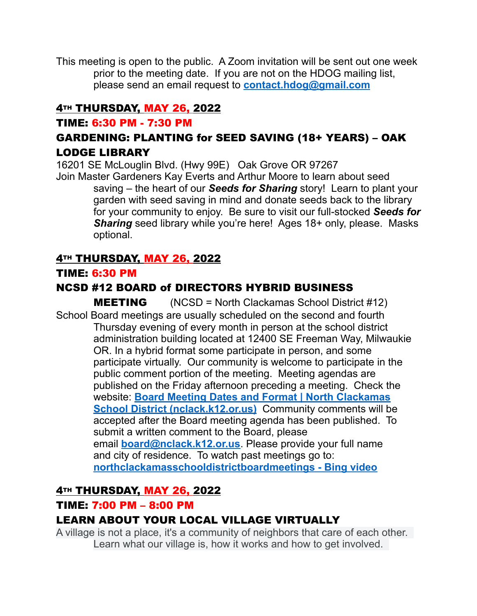This meeting is open to the public. A Zoom invitation will be sent out one week prior to the meeting date. If you are not on the HDOG mailing list, please send an email request to **[contact.hdog@gmail.com](mailto:contact.hdog@gmail.com)**

## **4TH THURSDAY, MAY 26, 2022**

## TIME: 6:30 PM - 7:30 PM

## GARDENING: PLANTING for SEED SAVING (18+ YEARS) – OAK LODGE LIBRARY

16201 SE McLouglin Blvd. (Hwy 99E) Oak Grove OR 97267 Join Master Gardeners Kay Everts and Arthur Moore to learn about seed

saving – the heart of our *Seeds for Sharing* story! Learn to plant your garden with seed saving in mind and donate seeds back to the library for your community to enjoy. Be sure to visit our full-stocked *Seeds for*  **Sharing** seed library while you're here! Ages 18+ only, please. Masks optional.

## **4TH THURSDAY, MAY 26, 2022**

## TIME: 6:30 PM

## NCSD #12 BOARD of DIRECTORS HYBRID BUSINESS

MEETING(NCSD = North Clackamas School District #12) School Board meetings are usually scheduled on the second and fourth Thursday evening of every month in person at the school district administration building located at 12400 SE Freeman Way, Milwaukie OR. In a hybrid format some participate in person, and some participate virtually. Our community is welcome to participate in the public comment portion of the meeting. Meeting agendas are published on the Friday afternoon preceding a meeting. Check the website: **[Board Meeting Dates and Format | North Clackamas](https://www.nclack.k12.or.us/schoolboard/page/board-meeting-dates-and-format)  School District (nclack.k12.or.us)** Community comments will be accepted after the Board meeting agenda has been published. To submit a written comment to the Board, please email **[board@nclack.k12.or.us](mailto:board@nclack.12.or.us)**. Please provide your full name and city of residence. To watch past meetings go to: **[northclackamasschooldistrictboardmeetings - Bing video](https://www.bing.com/videos/search?q=northclackamasschooldistrictboardmeetings&qpvt=northclackamasschooldistrictboardmeetings&FORM=VDRE)**

## **4TH THURSDAY, MAY 26, 2022**

## TIME: 7:00 PM – 8:00 PM

## LEARN ABOUT YOUR LOCAL VILLAGE VIRTUALLY

A village is not a place, it's a community of neighbors that care of each other. Learn what our village is, how it works and how to get involved.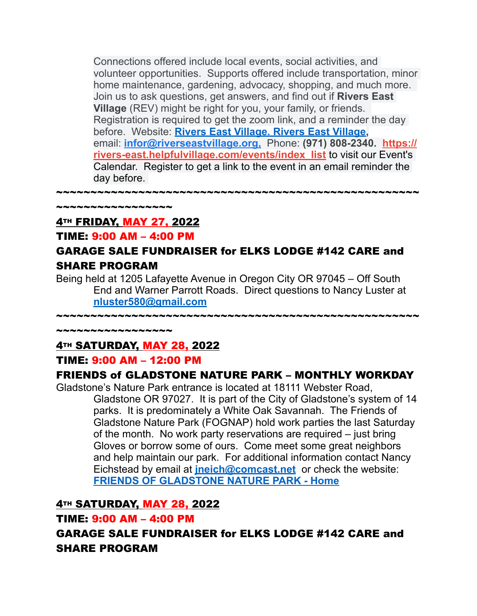Connections offered include local events, social activities, and volunteer opportunities. Supports offered include transportation, minor home maintenance, gardening, advocacy, shopping, and much more. Join us to ask questions, get answers, and find out if **Rivers East Village** (REV) might be right for you, your family, or friends. Registration is required to get the zoom link, and a reminder the day before. Website: **[Rivers East Village. Rivers East Village,](https://www.riverseastvillage.org/)** email: **[infor@riverseastvillage.org](mailto:infor@riverseastvillage.org)[,](mailto:info@riverseastvillage.org)** Phone: **(971) 808-2340. [https://](https://rivers-east.helpfulvillage.com/events/index_list) [rivers-east.helpfulvillage.com/events/index\\_list](https://rivers-east.helpfulvillage.com/events/index_list)** to visit our Event's Calendar. Register to get a link to the event in an email reminder the day before.

~~~~~~~~~~~~~~

## **4TH FRIDAY, MAY 27, 2022**

#### TIME: 9:00 AM – 4:00 PM

## GARAGE SALE FUNDRAISER for ELKS LODGE #142 CARE and SHARE PROGRAM

~~~~~~~~~~~~~~~~~~~~~~~~~~~~~~~~~~~~~~~~~~~~~~~~~~~~~

Being held at 1205 Lafayette Avenue in Oregon City OR 97045 – Off South End and Warner Parrott Roads. Direct questions to Nancy Luster at **[nluster580@gmail.com](mailto:nluster580@gmail.com)**

~~~~~~~~~~~~~~~~~~~~~~~~~~~~~~~~~~~~~~~~~~~~~~~~~~~~~

~~~~~~~~~~~~~~~~~

## **4TH SATURDAY, MAY 28, 2022**

#### TIME: 9:00 AM – 12:00 PM

#### FRIENDS of GLADSTONE NATURE PARK – MONTHLY WORKDAY

Gladstone's Nature Park entrance is located at 18111 Webster Road, Gladstone OR 97027. It is part of the City of Gladstone's system of 14 parks. It is predominately a White Oak Savannah. The Friends of Gladstone Nature Park (FOGNAP) hold work parties the last Saturday of the month. No work party reservations are required – just bring Gloves or borrow some of ours. Come meet some great neighbors and help maintain our park. For additional information contact Nancy Eichstead by email at **[jneich@comcast.net](mailto:jneich@comcast.net)** or check the website: **[FRIENDS OF GLADSTONE NATURE PARK - Home](http://www.gladstonenaturepark.org/)**

## **4TH SATURDAY, MAY 28, 2022**

#### TIME: 9:00 AM – 4:00 PM

GARAGE SALE FUNDRAISER for ELKS LODGE #142 CARE and SHARE PROGRAM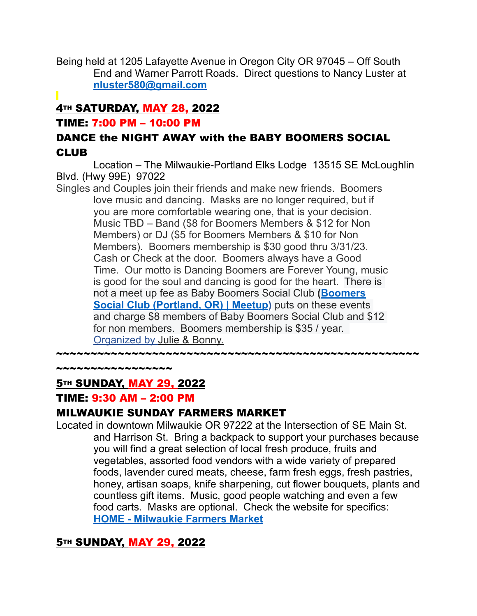Being held at 1205 Lafayette Avenue in Oregon City OR 97045 – Off South End and Warner Parrott Roads. Direct questions to Nancy Luster at **[nluster580@gmail.com](mailto:nluster580@gmail.com)**

# **4TH SATURDAY, MAY 28, 2022**

#### TIME: 7:00 PM – 10:00 PM

## DANCE the NIGHT AWAY with the BABY BOOMERS SOCIAL CLUB

Location – The Milwaukie-Portland Elks Lodge 13515 SE McLoughlin Blvd. (Hwy 99E) 97022

Singles and Couples join their friends and make new friends. Boomers love music and dancing. Masks are no longer required, but if you are more comfortable wearing one, that is your decision. Music TBD – Band (\$8 for Boomers Members & \$12 for Non Members) or DJ (\$5 for Boomers Members & \$10 for Non Members). Boomers membership is \$30 good thru 3/31/23. Cash or Check at the door. Boomers always have a Good Time. Our motto is Dancing Boomers are Forever Young, music is good for the soul and dancing is good for the heart. There is not a meet up fee as Baby Boomers Social Club **([Boomers](https://www.meetup.com/Boomers-Social-Club/?_cookie+9xLMcyF4fEeg6ggT)  [Social Club \(Portland, OR\) | Meetup](https://www.meetup.com/Boomers-Social-Club/?_cookie+9xLMcyF4fEeg6ggT))** puts on these events and charge \$8 members of Baby Boomers Social Club and \$12 for non members. Boomers membership is \$35 / year. [Organized by Julie & Bonny.](https://www.meetup.com/Boomers-Social-Club/members/?op=leaders)

~~~~~~~~~~~~~~~~~~~~~~~~~~~~~~~~~~~~~~~~~~~~~~~~~~~~~

ويتم يتم تنم تنم المرتبط التي تركيز

## **5TH SUNDAY, MAY 29, 2022**

## TIME: 9:30 AM – 2:00 PM

## MILWAUKIE SUNDAY FARMERS MARKET

Located in downtown Milwaukie OR 97222 at the Intersection of SE Main St. and Harrison St. Bring a backpack to support your purchases because you will find a great selection of local fresh produce, fruits and vegetables, assorted food vendors with a wide variety of prepared foods, lavender cured meats, cheese, farm fresh eggs, fresh pastries, honey, artisan soaps, knife sharpening, cut flower bouquets, plants and countless gift items. Music, good people watching and even a few food carts. Masks are optional. Check the website for specifics: **[HOME - Milwaukie Farmers Market](https://milwaukiefarmersmarket.com/)**

## **5TH SUNDAY, MAY 29, 2022**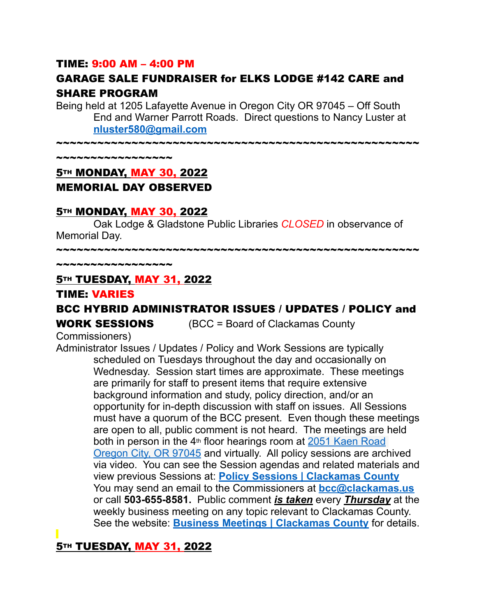#### TIME: 9:00 AM – 4:00 PM

## GARAGE SALE FUNDRAISER for ELKS LODGE #142 CARE and SHARE PROGRAM

Being held at 1205 Lafayette Avenue in Oregon City OR 97045 – Off South End and Warner Parrott Roads. Direct questions to Nancy Luster at **[nluster580@gmail.com](mailto:nluster580@gmail.com)**

~~~~~~~~~~~~~~~~~~~~~~~~~~~~~~~~~~~~~~~~~~~~~~~~~~~~~

~~~~~~~~~~~~~~

## **5TH MONDAY, MAY 30, 2022** MEMORIAL DAY OBSERVED

#### **5TH MONDAY, MAY 30, 2022**

Oak Lodge & Gladstone Public Libraries *CLOSED* in observance of Memorial Day.

~~~~~~~~~~~~~~~~~~~~~~~~~~~~~~~~~~~~~~~~~~~~~~~~~~~~~

~~~~~~~~~~~~~~~~~

#### **5TH TUESDAY, MAY 31, 2022**

#### TIME: VARIES

## BCC HYBRID ADMINISTRATOR ISSUES / UPDATES / POLICY and

**WORK SESSIONS** (BCC = Board of Clackamas County

Commissioners)

Administrator Issues / Updates / Policy and Work Sessions are typically scheduled on Tuesdays throughout the day and occasionally on Wednesday. Session start times are approximate. These meetings are primarily for staff to present items that require extensive background information and study, policy direction, and/or an opportunity for in-depth discussion with staff on issues. All Sessions must have a quorum of the BCC present. Even though these meetings are open to all, public comment is not heard. The meetings are held both in person in the  $4<sup>th</sup>$  floor hearings room at 2051 Kaen Road [Oregon City, OR 97045](http://maps.google.com/maps?q=2051%20Kaen%20Road%20Oregon%20City%2C%20OR%2097045&c=45.3329205302%20-122.598746346) and virtually. All policy sessions are archived via video. You can see the Session agendas and related materials and view previous Sessions at: **[Policy Sessions | Clackamas County](https://www.clackamas.us/meetings/bcc/presentation)** You may send an email to the Commissioners at **[bcc@clackamas.us](mailto:bcc@clackamas.us)**  or call **503-655-8581.** Public comment *is taken* every *Thursday* at the weekly business meeting on any topic relevant to Clackamas County. See the website: **[Business Meetings | Clackamas County](https://www.clackamas.us/meetings/bcc/business)** for details.

**5TH TUESDAY, MAY 31, 2022**